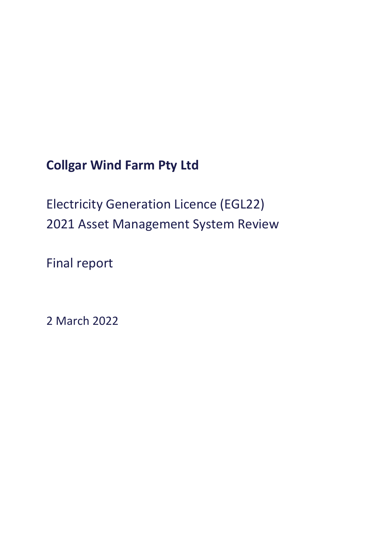**Collgar Wind Farm Pty Ltd**

Electricity Generation Licence (EGL22) 2021 Asset Management System Review

Final report

2 March 2022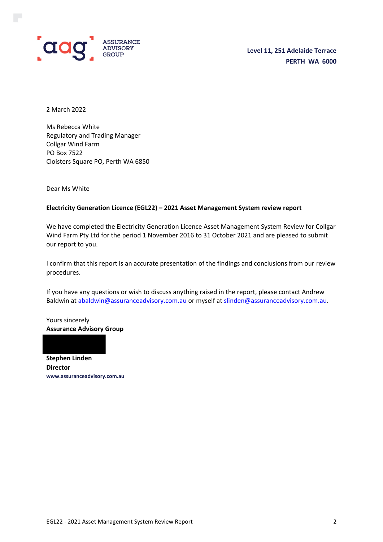

2 March 2022

Ms Rebecca White Regulatory and Trading Manager Collgar Wind Farm PO Box 7522 Cloisters Square PO, Perth WA 6850

Dear Ms White

### **Electricity Generation Licence (EGL22) – 2021 Asset Management System review report**

We have completed the Electricity Generation Licence Asset Management System Review for Collgar Wind Farm Pty Ltd for the period 1 November 2016 to 31 October 2021 and are pleased to submit our report to you.

I confirm that this report is an accurate presentation of the findings and conclusions from our review procedures.

If you have any questions or wish to discuss anything raised in the report, please contact Andrew Baldwin at [abaldwin@assuranceadvisory.com.au](mailto:abaldwin@assuranceadvisory.com.au) or myself at [slinden@assuranceadvisory.com.au.](mailto:slinden@assuranceadvisory.com.au)

Yours sincerely **Assurance Advisory Group**

**Stephen Linden Director www.assuranceadvisory.com.au**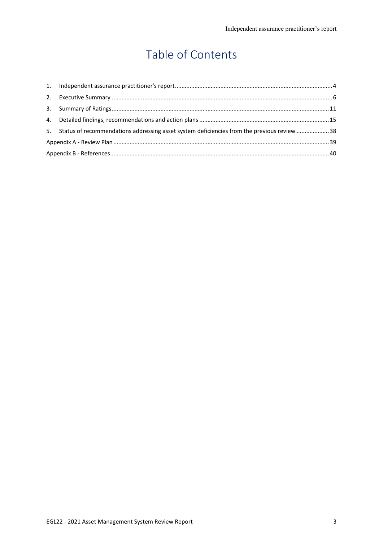# Table of Contents

| 5. Status of recommendations addressing asset system deficiencies from the previous review 38 |  |
|-----------------------------------------------------------------------------------------------|--|
|                                                                                               |  |
|                                                                                               |  |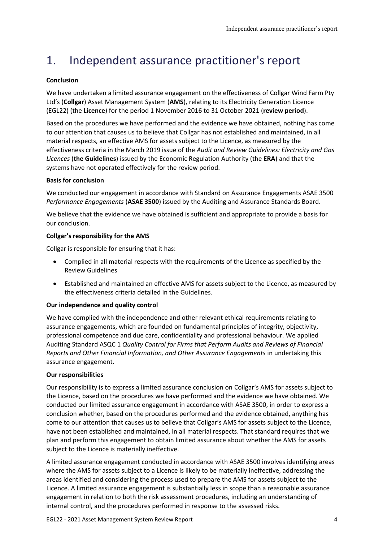# <span id="page-3-0"></span>1. Independent assurance practitioner's report

## **Conclusion**

We have undertaken a limited assurance engagement on the effectiveness of Collgar Wind Farm Pty Ltd's (**Collgar**) Asset Management System (**AMS**), relating to its Electricity Generation Licence (EGL22) (the **Licence**) for the period 1 November 2016 to 31 October 2021 (**review period**).

Based on the procedures we have performed and the evidence we have obtained, nothing has come to our attention that causes us to believe that Collgar has not established and maintained, in all material respects, an effective AMS for assets subject to the Licence, as measured by the effectiveness criteria in the March 2019 issue of the *Audit and Review Guidelines: Electricity and Gas Licences* (**the Guidelines**) issued by the Economic Regulation Authority (the **ERA**) and that the systems have not operated effectively for the review period.

### **Basis for conclusion**

We conducted our engagement in accordance with Standard on Assurance Engagements ASAE 3500 *Performance Engagements* (**ASAE 3500**) issued by the Auditing and Assurance Standards Board.

We believe that the evidence we have obtained is sufficient and appropriate to provide a basis for our conclusion.

### **Collgar's responsibility for the AMS**

Collgar is responsible for ensuring that it has:

- Complied in all material respects with the requirements of the Licence as specified by the Review Guidelines
- Established and maintained an effective AMS for assets subject to the Licence, as measured by the effectiveness criteria detailed in the Guidelines.

### **Our independence and quality control**

We have complied with the independence and other relevant ethical requirements relating to assurance engagements, which are founded on fundamental principles of integrity, objectivity, professional competence and due care, confidentiality and professional behaviour. We applied Auditing Standard ASQC 1 *Quality Control for Firms that Perform Audits and Reviews of Financial Reports and Other Financial Information, and Other Assurance Engagements* in undertaking this assurance engagement.

### **Our responsibilities**

Our responsibility is to express a limited assurance conclusion on Collgar's AMS for assets subject to the Licence, based on the procedures we have performed and the evidence we have obtained. We conducted our limited assurance engagement in accordance with ASAE 3500, in order to express a conclusion whether, based on the procedures performed and the evidence obtained, anything has come to our attention that causes us to believe that Collgar's AMS for assets subject to the Licence, have not been established and maintained, in all material respects. That standard requires that we plan and perform this engagement to obtain limited assurance about whether the AMS for assets subject to the Licence is materially ineffective.

A limited assurance engagement conducted in accordance with ASAE 3500 involves identifying areas where the AMS for assets subject to a Licence is likely to be materially ineffective, addressing the areas identified and considering the process used to prepare the AMS for assets subject to the Licence. A limited assurance engagement is substantially less in scope than a reasonable assurance engagement in relation to both the risk assessment procedures, including an understanding of internal control, and the procedures performed in response to the assessed risks.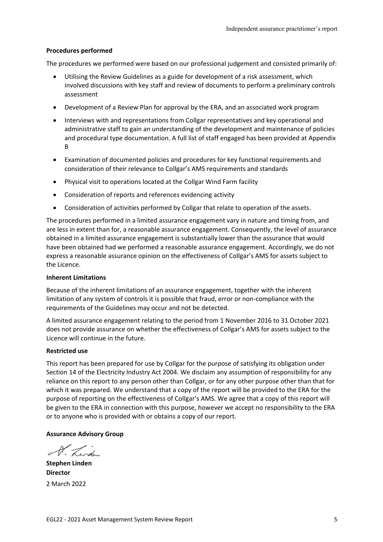### **Procedures performed**

The procedures we performed were based on our professional judgement and consisted primarily of:

- Utilising the Review Guidelines as a guide for development of a risk assessment, which involved discussions with key staff and review of documents to perform a preliminary controls assessment
- Development of a Review Plan for approval by the ERA, and an associated work program
- Interviews with and representations from Collgar representatives and key operational and administrative staff to gain an understanding of the development and maintenance of policies and procedural type documentation. A full list of staff engaged has been provided at Appendix B
- Examination of documented policies and procedures for key functional requirements and consideration of their relevance to Collgar's AMS requirements and standards
- Physical visit to operations located at the Collgar Wind Farm facility
- Consideration of reports and references evidencing activity
- Consideration of activities performed by Collgar that relate to operation of the assets.

The procedures performed in a limited assurance engagement vary in nature and timing from, and are less in extent than for, a reasonable assurance engagement. Consequently, the level of assurance obtained in a limited assurance engagement is substantially lower than the assurance that would have been obtained had we performed a reasonable assurance engagement. Accordingly, we do not express a reasonable assurance opinion on the effectiveness of Collgar's AMS for assets subject to the Licence.

### **Inherent Limitations**

Because of the inherent limitations of an assurance engagement, together with the inherent limitation of any system of controls it is possible that fraud, error or non-compliance with the requirements of the Guidelines may occur and not be detected.

A limited assurance engagement relating to the period from 1 November 2016 to 31 October 2021 does not provide assurance on whether the effectiveness of Collgar's AMS for assets subject to the Licence will continue in the future.

### **Restricted use**

This report has been prepared for use by Collgar for the purpose of satisfying its obligation under Section 14 of the Electricity Industry Act 2004. We disclaim any assumption of responsibility for any reliance on this report to any person other than Collgar, or for any other purpose other than that for which it was prepared. We understand that a copy of the report will be provided to the ERA for the purpose of reporting on the effectiveness of Collgar's AMS. We agree that a copy of this report will be given to the ERA in connection with this purpose, however we accept no responsibility to the ERA or to anyone who is provided with or obtains a copy of our report.

### **Assurance Advisory Group**

Render

**Stephen Linden Director** 2 March 2022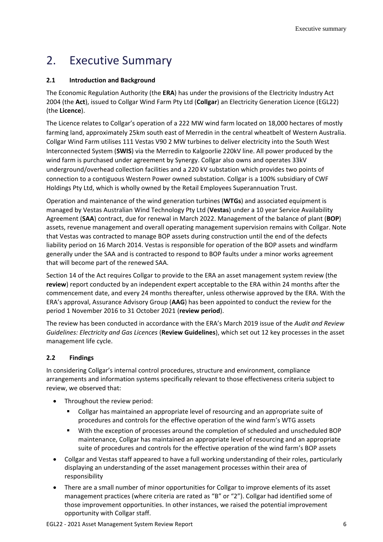# <span id="page-5-0"></span>2. Executive Summary

### **2.1 Introduction and Background**

The Economic Regulation Authority (the **ERA**) has under the provisions of the Electricity Industry Act 2004 (the **Act**), issued to Collgar Wind Farm Pty Ltd (**Collgar**) an Electricity Generation Licence (EGL22) (the **Licence**).

The Licence relates to Collgar's operation of a 222 MW wind farm located on 18,000 hectares of mostly farming land, approximately 25km south east of Merredin in the central wheatbelt of Western Australia. Collgar Wind Farm utilises 111 Vestas V90 2 MW turbines to deliver electricity into the South West Interconnected System (**SWIS**) via the Merredin to Kalgoorlie 220kV line. All power produced by the wind farm is purchased under agreement by Synergy. Collgar also owns and operates 33kV underground/overhead collection facilities and a 220 kV substation which provides two points of connection to a contiguous Western Power owned substation. Collgar is a 100% subsidiary of CWF Holdings Pty Ltd, which is wholly owned by the Retail Employees Superannuation Trust.

Operation and maintenance of the wind generation turbines (**WTGs**) and associated equipment is managed by Vestas Australian Wind Technology Pty Ltd (**Vestas**) under a 10 year Service Availability Agreement (**SAA**) contract, due for renewal in March 2022. Management of the balance of plant (**BOP**) assets, revenue management and overall operating management supervision remains with Collgar. Note that Vestas was contracted to manage BOP assets during construction until the end of the defects liability period on 16 March 2014. Vestas is responsible for operation of the BOP assets and windfarm generally under the SAA and is contracted to respond to BOP faults under a minor works agreement that will become part of the renewed SAA.

Section 14 of the Act requires Collgar to provide to the ERA an asset management system review (the **review**) report conducted by an independent expert acceptable to the ERA within 24 months after the commencement date, and every 24 months thereafter, unless otherwise approved by the ERA. With the ERA's approval, Assurance Advisory Group (**AAG**) has been appointed to conduct the review for the period 1 November 2016 to 31 October 2021 (**review period**).

The review has been conducted in accordance with the ERA's March 2019 issue of the *Audit and Review Guidelines: Electricity and Gas Licences* (**Review Guidelines**), which set out 12 key processes in the asset management life cycle.

### **2.2 Findings**

In considering Collgar's internal control procedures, structure and environment, compliance arrangements and information systems specifically relevant to those effectiveness criteria subject to review, we observed that:

- Throughout the review period:
	- Collgar has maintained an appropriate level of resourcing and an appropriate suite of procedures and controls for the effective operation of the wind farm's WTG assets
	- With the exception of processes around the completion of scheduled and unscheduled BOP maintenance, Collgar has maintained an appropriate level of resourcing and an appropriate suite of procedures and controls for the effective operation of the wind farm's BOP assets
- Collgar and Vestas staff appeared to have a full working understanding of their roles, particularly displaying an understanding of the asset management processes within their area of responsibility
- There are a small number of minor opportunities for Collgar to improve elements of its asset management practices (where criteria are rated as "B" or "2"). Collgar had identified some of those improvement opportunities. In other instances, we raised the potential improvement opportunity with Collgar staff.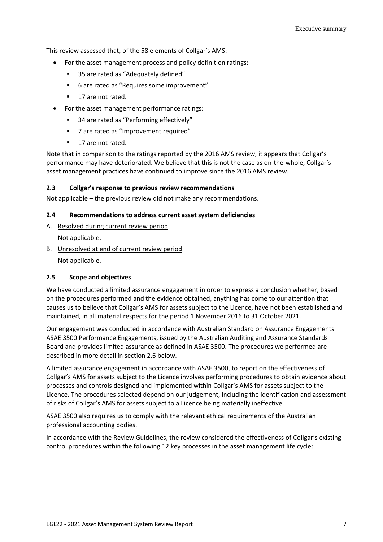This review assessed that, of the 58 elements of Collgar's AMS:

- For the asset management process and policy definition ratings:
	- 35 are rated as "Adequately defined"
	- 6 are rated as "Requires some improvement"
	- 17 are not rated.
- For the asset management performance ratings:
	- 34 are rated as "Performing effectively"
	- 7 are rated as "Improvement required"
	- 17 are not rated.

Note that in comparison to the ratings reported by the 2016 AMS review, it appears that Collgar's performance may have deteriorated. We believe that this is not the case as on-the-whole, Collgar's asset management practices have continued to improve since the 2016 AMS review.

### **2.3 Collgar's response to previous review recommendations**

Not applicable – the previous review did not make any recommendations.

### **2.4 Recommendations to address current asset system deficiencies**

- A. Resolved during current review period Not applicable.
- B. Unresolved at end of current review period

Not applicable.

### **2.5 Scope and objectives**

We have conducted a limited assurance engagement in order to express a conclusion whether, based on the procedures performed and the evidence obtained, anything has come to our attention that causes us to believe that Collgar's AMS for assets subject to the Licence, have not been established and maintained, in all material respects for the period 1 November 2016 to 31 October 2021.

Our engagement was conducted in accordance with Australian Standard on Assurance Engagements ASAE 3500 Performance Engagements, issued by the Australian Auditing and Assurance Standards Board and provides limited assurance as defined in ASAE 3500. The procedures we performed are described in more detail in section 2.6 below.

A limited assurance engagement in accordance with ASAE 3500, to report on the effectiveness of Collgar's AMS for assets subject to the Licence involves performing procedures to obtain evidence about processes and controls designed and implemented within Collgar's AMS for assets subject to the Licence. The procedures selected depend on our judgement, including the identification and assessment of risks of Collgar's AMS for assets subject to a Licence being materially ineffective.

ASAE 3500 also requires us to comply with the relevant ethical requirements of the Australian professional accounting bodies.

In accordance with the Review Guidelines, the review considered the effectiveness of Collgar's existing control procedures within the following 12 key processes in the asset management life cycle: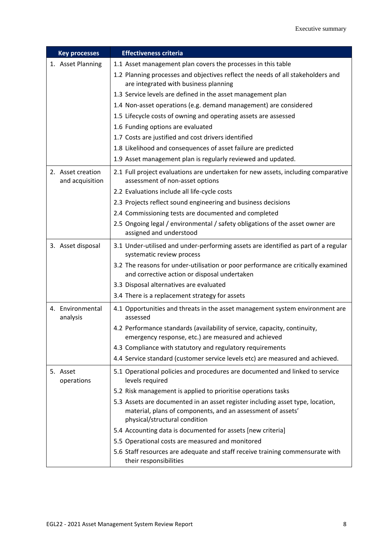| <b>Key processes</b>                 | <b>Effectiveness criteria</b>                                                                                                                                                  |
|--------------------------------------|--------------------------------------------------------------------------------------------------------------------------------------------------------------------------------|
| 1. Asset Planning                    | 1.1 Asset management plan covers the processes in this table                                                                                                                   |
|                                      | 1.2 Planning processes and objectives reflect the needs of all stakeholders and<br>are integrated with business planning                                                       |
|                                      | 1.3 Service levels are defined in the asset management plan                                                                                                                    |
|                                      | 1.4 Non-asset operations (e.g. demand management) are considered                                                                                                               |
|                                      | 1.5 Lifecycle costs of owning and operating assets are assessed                                                                                                                |
|                                      | 1.6 Funding options are evaluated                                                                                                                                              |
|                                      | 1.7 Costs are justified and cost drivers identified                                                                                                                            |
|                                      | 1.8 Likelihood and consequences of asset failure are predicted                                                                                                                 |
|                                      | 1.9 Asset management plan is regularly reviewed and updated.                                                                                                                   |
| 2. Asset creation<br>and acquisition | 2.1 Full project evaluations are undertaken for new assets, including comparative<br>assessment of non-asset options                                                           |
|                                      | 2.2 Evaluations include all life-cycle costs                                                                                                                                   |
|                                      | 2.3 Projects reflect sound engineering and business decisions                                                                                                                  |
|                                      | 2.4 Commissioning tests are documented and completed                                                                                                                           |
|                                      | 2.5 Ongoing legal / environmental / safety obligations of the asset owner are<br>assigned and understood                                                                       |
| 3. Asset disposal                    | 3.1 Under-utilised and under-performing assets are identified as part of a regular<br>systematic review process                                                                |
|                                      | 3.2 The reasons for under-utilisation or poor performance are critically examined<br>and corrective action or disposal undertaken                                              |
|                                      | 3.3 Disposal alternatives are evaluated                                                                                                                                        |
|                                      | 3.4 There is a replacement strategy for assets                                                                                                                                 |
| 4. Environmental<br>analysis         | 4.1 Opportunities and threats in the asset management system environment are<br>assessed                                                                                       |
|                                      | 4.2 Performance standards (availability of service, capacity, continuity,<br>emergency response, etc.) are measured and achieved                                               |
|                                      | 4.3 Compliance with statutory and regulatory requirements                                                                                                                      |
|                                      | 4.4 Service standard (customer service levels etc) are measured and achieved.                                                                                                  |
| 5. Asset<br>operations               | 5.1 Operational policies and procedures are documented and linked to service<br>levels required                                                                                |
|                                      | 5.2 Risk management is applied to prioritise operations tasks                                                                                                                  |
|                                      | 5.3 Assets are documented in an asset register including asset type, location,<br>material, plans of components, and an assessment of assets'<br>physical/structural condition |
|                                      | 5.4 Accounting data is documented for assets [new criteria]                                                                                                                    |
|                                      | 5.5 Operational costs are measured and monitored                                                                                                                               |
|                                      | 5.6 Staff resources are adequate and staff receive training commensurate with<br>their responsibilities                                                                        |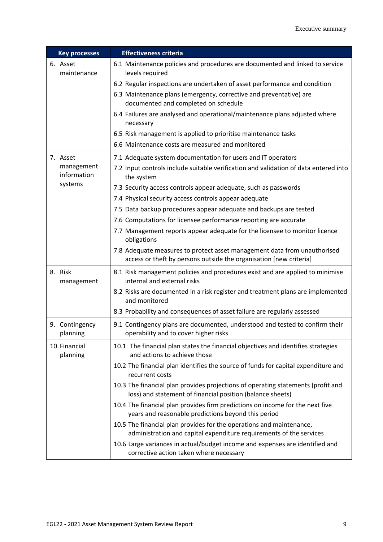| <b>Key processes</b>       | <b>Effectiveness criteria</b>                                                                                                                  |
|----------------------------|------------------------------------------------------------------------------------------------------------------------------------------------|
| 6. Asset<br>maintenance    | 6.1 Maintenance policies and procedures are documented and linked to service<br>levels required                                                |
|                            | 6.2 Regular inspections are undertaken of asset performance and condition                                                                      |
|                            | 6.3 Maintenance plans (emergency, corrective and preventative) are<br>documented and completed on schedule                                     |
|                            | 6.4 Failures are analysed and operational/maintenance plans adjusted where<br>necessary                                                        |
|                            | 6.5 Risk management is applied to prioritise maintenance tasks                                                                                 |
|                            | 6.6 Maintenance costs are measured and monitored                                                                                               |
| 7. Asset                   | 7.1 Adequate system documentation for users and IT operators                                                                                   |
| management<br>information  | 7.2 Input controls include suitable verification and validation of data entered into<br>the system                                             |
| systems                    | 7.3 Security access controls appear adequate, such as passwords                                                                                |
|                            | 7.4 Physical security access controls appear adequate                                                                                          |
|                            | 7.5 Data backup procedures appear adequate and backups are tested                                                                              |
|                            | 7.6 Computations for licensee performance reporting are accurate                                                                               |
|                            | 7.7 Management reports appear adequate for the licensee to monitor licence<br>obligations                                                      |
|                            | 7.8 Adequate measures to protect asset management data from unauthorised<br>access or theft by persons outside the organisation [new criteria] |
| 8. Risk<br>management      | 8.1 Risk management policies and procedures exist and are applied to minimise<br>internal and external risks                                   |
|                            | 8.2 Risks are documented in a risk register and treatment plans are implemented<br>and monitored                                               |
|                            | 8.3 Probability and consequences of asset failure are regularly assessed                                                                       |
| 9. Contingency<br>planning | 9.1 Contingency plans are documented, understood and tested to confirm their<br>operability and to cover higher risks                          |
| 10. Financial<br>planning  | 10.1 The financial plan states the financial objectives and identifies strategies<br>and actions to achieve those                              |
|                            | 10.2 The financial plan identifies the source of funds for capital expenditure and<br>recurrent costs                                          |
|                            | 10.3 The financial plan provides projections of operating statements (profit and<br>loss) and statement of financial position (balance sheets) |
|                            | 10.4 The financial plan provides firm predictions on income for the next five<br>years and reasonable predictions beyond this period           |
|                            | 10.5 The financial plan provides for the operations and maintenance,<br>administration and capital expenditure requirements of the services    |
|                            | 10.6 Large variances in actual/budget income and expenses are identified and<br>corrective action taken where necessary                        |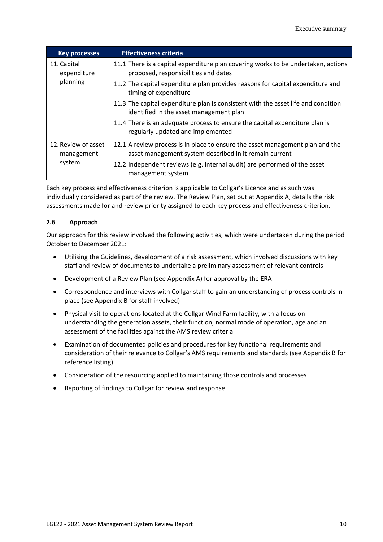| <b>Key processes</b>              | <b>Effectiveness criteria</b>                                                                                                           |
|-----------------------------------|-----------------------------------------------------------------------------------------------------------------------------------------|
| 11. Capital<br>expenditure        | 11.1 There is a capital expenditure plan covering works to be undertaken, actions<br>proposed, responsibilities and dates               |
| planning                          | 11.2 The capital expenditure plan provides reasons for capital expenditure and<br>timing of expenditure                                 |
|                                   | 11.3 The capital expenditure plan is consistent with the asset life and condition<br>identified in the asset management plan            |
|                                   | 11.4 There is an adequate process to ensure the capital expenditure plan is<br>regularly updated and implemented                        |
| 12. Review of asset<br>management | 12.1 A review process is in place to ensure the asset management plan and the<br>asset management system described in it remain current |
| system                            | 12.2 Independent reviews (e.g. internal audit) are performed of the asset<br>management system                                          |

Each key process and effectiveness criterion is applicable to Collgar's Licence and as such was individually considered as part of the review. The Review Plan, set out at Appendix A, details the risk assessments made for and review priority assigned to each key process and effectiveness criterion.

### **2.6 Approach**

Our approach for this review involved the following activities, which were undertaken during the period October to December 2021:

- Utilising the Guidelines, development of a risk assessment, which involved discussions with key staff and review of documents to undertake a preliminary assessment of relevant controls
- Development of a Review Plan (see Appendix A) for approval by the ERA
- Correspondence and interviews with Collgar staff to gain an understanding of process controls in place (see Appendix B for staff involved)
- Physical visit to operations located at the Collgar Wind Farm facility, with a focus on understanding the generation assets, their function, normal mode of operation, age and an assessment of the facilities against the AMS review criteria
- Examination of documented policies and procedures for key functional requirements and consideration of their relevance to Collgar's AMS requirements and standards (see Appendix B for reference listing)
- Consideration of the resourcing applied to maintaining those controls and processes
- Reporting of findings to Collgar for review and response.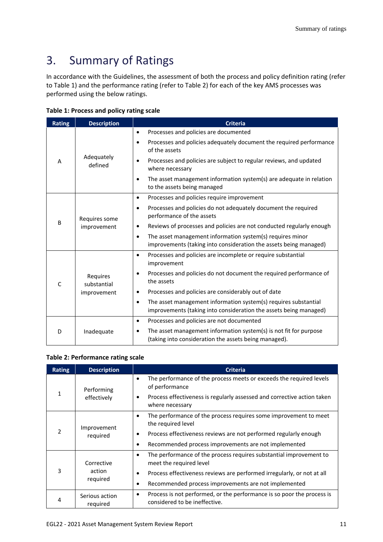# <span id="page-10-0"></span>3. Summary of Ratings

In accordance with the Guidelines, the assessment of both the process and policy definition rating (refer to Table 1) and the performance rating (refer to Table 2) for each of the key AMS processes was performed using the below ratings.

|  |  | Table 1: Process and policy rating scale |  |  |  |  |
|--|--|------------------------------------------|--|--|--|--|
|--|--|------------------------------------------|--|--|--|--|

| <b>Rating</b> | <b>Description</b>           | <b>Criteria</b>                                                                                                                                   |  |  |
|---------------|------------------------------|---------------------------------------------------------------------------------------------------------------------------------------------------|--|--|
|               | Adequately<br>defined        | Processes and policies are documented<br>$\bullet$                                                                                                |  |  |
| A             |                              | Processes and policies adequately document the required performance<br>$\bullet$<br>of the assets                                                 |  |  |
|               |                              | Processes and policies are subject to regular reviews, and updated<br>$\bullet$<br>where necessary                                                |  |  |
|               |                              | The asset management information system(s) are adequate in relation<br>٠<br>to the assets being managed                                           |  |  |
|               |                              | Processes and policies require improvement<br>$\bullet$                                                                                           |  |  |
|               | Requires some<br>improvement | Processes and policies do not adequately document the required<br>$\bullet$<br>performance of the assets                                          |  |  |
| B             |                              | Reviews of processes and policies are not conducted regularly enough<br>$\bullet$                                                                 |  |  |
|               |                              | The asset management information system(s) requires minor<br>$\bullet$<br>improvements (taking into consideration the assets being managed)       |  |  |
|               | Requires<br>substantial      | Processes and policies are incomplete or require substantial<br>$\bullet$<br>improvement                                                          |  |  |
| $\mathsf{C}$  |                              | Processes and policies do not document the required performance of<br>$\bullet$<br>the assets                                                     |  |  |
|               | improvement                  | Processes and policies are considerably out of date<br>$\bullet$                                                                                  |  |  |
|               |                              | The asset management information system(s) requires substantial<br>$\bullet$<br>improvements (taking into consideration the assets being managed) |  |  |
|               |                              | Processes and policies are not documented<br>$\bullet$                                                                                            |  |  |
| D             | Inadequate                   | The asset management information system(s) is not fit for purpose<br>$\bullet$<br>(taking into consideration the assets being managed).           |  |  |

### **Table 2: Performance rating scale**

| <b>Rating</b> | <b>Description</b>         | <b>Criteria</b>                                                                                                      |
|---------------|----------------------------|----------------------------------------------------------------------------------------------------------------------|
|               | Performing<br>effectively  | The performance of the process meets or exceeds the required levels<br>$\bullet$<br>of performance                   |
| 1             |                            | Process effectiveness is regularly assessed and corrective action taken<br>٠<br>where necessary                      |
|               | Improvement<br>required    | The performance of the process requires some improvement to meet<br>٠<br>the required level                          |
| $\mathcal{P}$ |                            | Process effectiveness reviews are not performed regularly enough<br>$\bullet$                                        |
|               |                            | Recommended process improvements are not implemented<br>٠                                                            |
|               | Corrective                 | The performance of the process requires substantial improvement to<br>$\bullet$<br>meet the required level           |
| 3             | action                     | Process effectiveness reviews are performed irregularly, or not at all<br>$\bullet$                                  |
|               | required                   | Recommended process improvements are not implemented<br>٠                                                            |
| 4             | Serious action<br>reguired | Process is not performed, or the performance is so poor the process is<br>$\bullet$<br>considered to be ineffective. |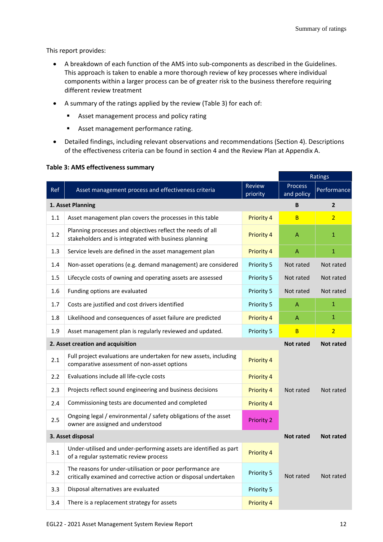This report provides:

- A breakdown of each function of the AMS into sub-components as described in the Guidelines. This approach is taken to enable a more thorough review of key processes where individual components within a larger process can be of greater risk to the business therefore requiring different review treatment
- A summary of the ratings applied by the review (Table 3) for each of:
	- Asset management process and policy rating
	- Asset management performance rating.
- Detailed findings, including relevant observations and recommendations (Section 4). Descriptions of the effectiveness criteria can be found in section 4 and the Review Plan at Appendix A.

|     |                                                                                                                               |                           |                              | Ratings          |
|-----|-------------------------------------------------------------------------------------------------------------------------------|---------------------------|------------------------------|------------------|
| Ref | Asset management process and effectiveness criteria                                                                           | <b>Review</b><br>priority | <b>Process</b><br>and policy | Performance      |
|     | 1. Asset Planning                                                                                                             |                           | B                            | $\overline{2}$   |
| 1.1 | Asset management plan covers the processes in this table                                                                      | Priority 4                | B                            | $\overline{2}$   |
| 1.2 | Planning processes and objectives reflect the needs of all<br>stakeholders and is integrated with business planning           | Priority 4                | A                            | $\mathbf{1}$     |
| 1.3 | Service levels are defined in the asset management plan                                                                       | <b>Priority 4</b>         | A                            | $\mathbf{1}$     |
| 1.4 | Non-asset operations (e.g. demand management) are considered                                                                  | Priority 5                | Not rated                    | Not rated        |
| 1.5 | Lifecycle costs of owning and operating assets are assessed                                                                   | Priority 5                | Not rated                    | Not rated        |
| 1.6 | Funding options are evaluated                                                                                                 | Priority 5                | Not rated                    | Not rated        |
| 1.7 | Costs are justified and cost drivers identified                                                                               | Priority 5                | A                            | $\mathbf{1}$     |
| 1.8 | Likelihood and consequences of asset failure are predicted                                                                    | <b>Priority 4</b>         | A                            | $\mathbf{1}$     |
| 1.9 | Asset management plan is regularly reviewed and updated.                                                                      | Priority 5                | B                            | $\overline{2}$   |
|     | 2. Asset creation and acquisition                                                                                             |                           | <b>Not rated</b>             | <b>Not rated</b> |
| 2.1 | Full project evaluations are undertaken for new assets, including<br>comparative assessment of non-asset options              | <b>Priority 4</b>         |                              |                  |
| 2.2 | Evaluations include all life-cycle costs                                                                                      | Priority 4                |                              |                  |
| 2.3 | Projects reflect sound engineering and business decisions                                                                     | Priority 4                | Not rated                    | Not rated        |
| 2.4 | Commissioning tests are documented and completed                                                                              | <b>Priority 4</b>         |                              |                  |
| 2.5 | Ongoing legal / environmental / safety obligations of the asset<br>owner are assigned and understood                          | <b>Priority 2</b>         |                              |                  |
|     | 3. Asset disposal                                                                                                             |                           |                              | <b>Not rated</b> |
| 3.1 | Under-utilised and under-performing assets are identified as part<br>of a regular systematic review process                   | Priority 4                |                              |                  |
| 3.2 | The reasons for under-utilisation or poor performance are<br>critically examined and corrective action or disposal undertaken | Priority 5                | Not rated                    | Not rated        |
| 3.3 | Disposal alternatives are evaluated                                                                                           | Priority 5                |                              |                  |
| 3.4 | There is a replacement strategy for assets                                                                                    | <b>Priority 4</b>         |                              |                  |

### **Table 3: AMS effectiveness summary**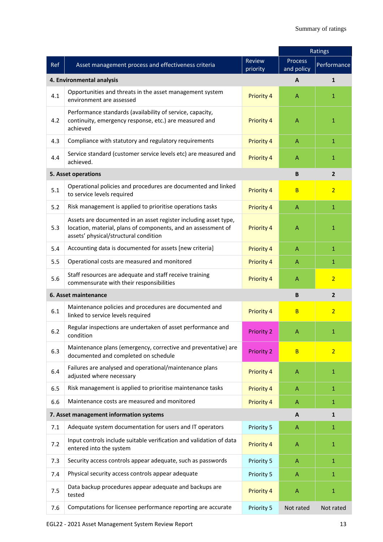|     |                                                                                                                                                                            |                    |                       | Ratings        |  |
|-----|----------------------------------------------------------------------------------------------------------------------------------------------------------------------------|--------------------|-----------------------|----------------|--|
| Ref | Asset management process and effectiveness criteria                                                                                                                        | Review<br>priority | Process<br>and policy | Performance    |  |
|     | 4. Environmental analysis                                                                                                                                                  |                    | A                     | $\mathbf{1}$   |  |
| 4.1 | Opportunities and threats in the asset management system<br>environment are assessed                                                                                       | <b>Priority 4</b>  | $\mathsf{A}$          | $\mathbf{1}$   |  |
| 4.2 | Performance standards (availability of service, capacity,<br>continuity, emergency response, etc.) are measured and<br>achieved                                            | Priority 4         | A                     | $\mathbf{1}$   |  |
| 4.3 | Compliance with statutory and regulatory requirements                                                                                                                      | Priority 4         | A                     | $\mathbf{1}$   |  |
| 4.4 | Service standard (customer service levels etc) are measured and<br>achieved.                                                                                               | Priority 4         | A                     | 1              |  |
|     | 5. Asset operations                                                                                                                                                        |                    | B                     | $\mathbf{2}$   |  |
| 5.1 | Operational policies and procedures are documented and linked<br>to service levels required                                                                                | Priority 4         | B                     | $\overline{2}$ |  |
| 5.2 | Risk management is applied to prioritise operations tasks                                                                                                                  | Priority 4         | $\mathsf{A}$          | $\mathbf{1}$   |  |
| 5.3 | Assets are documented in an asset register including asset type,<br>location, material, plans of components, and an assessment of<br>assets' physical/structural condition | Priority 4         | A                     | $\mathbf{1}$   |  |
| 5.4 | Accounting data is documented for assets [new criteria]                                                                                                                    | Priority 4         | A                     | $\mathbf{1}$   |  |
| 5.5 | Operational costs are measured and monitored                                                                                                                               | Priority 4         | $\mathsf{A}$          | $\mathbf{1}$   |  |
| 5.6 | Staff resources are adequate and staff receive training<br>commensurate with their responsibilities                                                                        | Priority 4         | A                     | $\overline{2}$ |  |
|     | 6. Asset maintenance                                                                                                                                                       |                    | B                     | $\overline{2}$ |  |
| 6.1 | Maintenance policies and procedures are documented and<br>linked to service levels required                                                                                | <b>Priority 4</b>  | B                     | $\overline{2}$ |  |
| 6.2 | Regular inspections are undertaken of asset performance and<br>condition                                                                                                   | <b>Priority 2</b>  | A                     | 1              |  |
| 6.3 | Maintenance plans (emergency, corrective and preventative) are<br>documented and completed on schedule                                                                     | <b>Priority 2</b>  | <sub>B</sub>          | $\overline{2}$ |  |
| 6.4 | Failures are analysed and operational/maintenance plans<br>adjusted where necessary                                                                                        | Priority 4         | $\mathsf{A}$          | $\mathbf{1}$   |  |
| 6.5 | Risk management is applied to prioritise maintenance tasks                                                                                                                 | <b>Priority 4</b>  | $\mathsf{A}$          | $\mathbf{1}$   |  |
| 6.6 | Maintenance costs are measured and monitored                                                                                                                               | Priority 4         | A                     | $\mathbf{1}$   |  |
|     | 7. Asset management information systems<br>A<br>$\mathbf{1}$                                                                                                               |                    |                       |                |  |
| 7.1 | Adequate system documentation for users and IT operators                                                                                                                   | Priority 5         | $\mathsf{A}$          | $\mathbf{1}$   |  |
| 7.2 | Input controls include suitable verification and validation of data<br>entered into the system                                                                             | Priority 4         | $\mathsf{A}$          | $\mathbf{1}$   |  |
| 7.3 | Security access controls appear adequate, such as passwords                                                                                                                | Priority 5         | A                     | $\mathbf{1}$   |  |
| 7.4 | Physical security access controls appear adequate                                                                                                                          | Priority 5         | $\mathsf{A}$          | $\mathbf{1}$   |  |
| 7.5 | Data backup procedures appear adequate and backups are<br>tested                                                                                                           | Priority 4         | A                     | $\mathbf{1}$   |  |
| 7.6 | Computations for licensee performance reporting are accurate                                                                                                               | Priority 5         | Not rated             | Not rated      |  |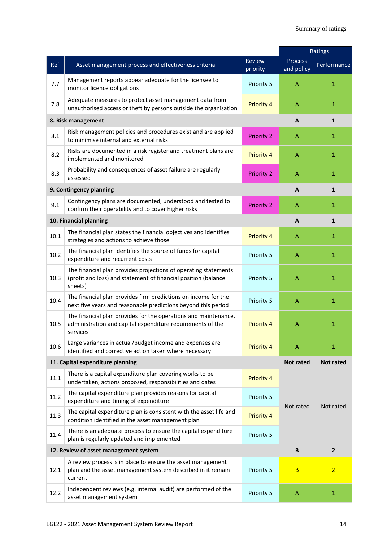|      |                                                                                                                                              |                    |                       | Ratings                 |
|------|----------------------------------------------------------------------------------------------------------------------------------------------|--------------------|-----------------------|-------------------------|
| Ref  | Asset management process and effectiveness criteria                                                                                          | Review<br>priority | Process<br>and policy | Performance             |
| 7.7  | Management reports appear adequate for the licensee to<br>monitor licence obligations                                                        | Priority 5         | A                     | $\mathbf{1}$            |
| 7.8  | Adequate measures to protect asset management data from<br>unauthorised access or theft by persons outside the organisation                  | <b>Priority 4</b>  | A                     | $\mathbf{1}$            |
|      | 8. Risk management                                                                                                                           |                    | A                     | $\mathbf{1}$            |
| 8.1  | Risk management policies and procedures exist and are applied<br>to minimise internal and external risks                                     | <b>Priority 2</b>  | $\mathsf{A}$          | $\mathbf{1}$            |
| 8.2  | Risks are documented in a risk register and treatment plans are<br>implemented and monitored                                                 | Priority 4         | A                     | $\mathbf{1}$            |
| 8.3  | Probability and consequences of asset failure are regularly<br>assessed                                                                      | <b>Priority 2</b>  | A                     | $\mathbf{1}$            |
|      | 9. Contingency planning                                                                                                                      |                    | A                     | $\mathbf{1}$            |
| 9.1  | Contingency plans are documented, understood and tested to<br>confirm their operability and to cover higher risks                            | <b>Priority 2</b>  | A                     | $\mathbf{1}$            |
|      | 10. Financial planning                                                                                                                       |                    | A                     | $\mathbf{1}$            |
| 10.1 | The financial plan states the financial objectives and identifies<br>strategies and actions to achieve those                                 | <b>Priority 4</b>  | $\mathsf{A}$          | $\mathbf{1}$            |
| 10.2 | The financial plan identifies the source of funds for capital<br>expenditure and recurrent costs                                             | Priority 5         | $\mathsf{A}$          | $\mathbf{1}$            |
| 10.3 | The financial plan provides projections of operating statements<br>(profit and loss) and statement of financial position (balance<br>sheets) | Priority 5         | $\overline{A}$        | $\mathbf{1}$            |
| 10.4 | The financial plan provides firm predictions on income for the<br>next five years and reasonable predictions beyond this period              | Priority 5         | $\overline{A}$        | $\mathbf{1}$            |
| 10.5 | The financial plan provides for the operations and maintenance,<br>administration and capital expenditure requirements of the<br>services    | <b>Priority 4</b>  | A                     | $\mathbf{1}$            |
| 10.6 | Large variances in actual/budget income and expenses are<br>identified and corrective action taken where necessary                           | Priority 4         | A                     | 1                       |
|      | 11. Capital expenditure planning                                                                                                             |                    | <b>Not rated</b>      | <b>Not rated</b>        |
| 11.1 | There is a capital expenditure plan covering works to be<br>undertaken, actions proposed, responsibilities and dates                         | Priority 4         |                       |                         |
| 11.2 | The capital expenditure plan provides reasons for capital<br>expenditure and timing of expenditure                                           | Priority 5         | Not rated             | Not rated               |
| 11.3 | The capital expenditure plan is consistent with the asset life and<br>condition identified in the asset management plan                      | Priority 4         |                       |                         |
| 11.4 | There is an adequate process to ensure the capital expenditure<br>plan is regularly updated and implemented                                  | Priority 5         |                       |                         |
|      | 12. Review of asset management system                                                                                                        |                    | $\, {\bf B}$          | $\overline{\mathbf{2}}$ |
| 12.1 | A review process is in place to ensure the asset management<br>plan and the asset management system described in it remain<br>current        | Priority 5         | B                     | $\overline{2}$          |
| 12.2 | Independent reviews (e.g. internal audit) are performed of the<br>asset management system                                                    | Priority 5         | $\mathsf{A}$          | $\mathbf{1}$            |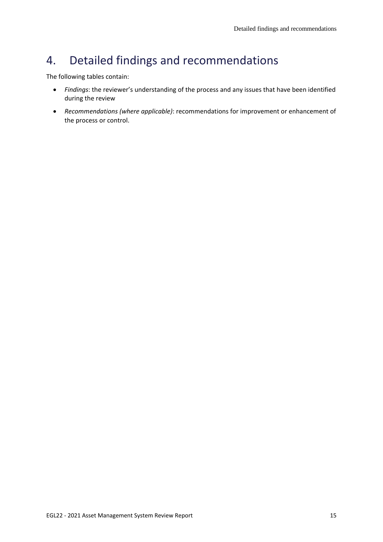# <span id="page-14-0"></span>4. Detailed findings and recommendations

The following tables contain:

- *Findings*: the reviewer's understanding of the process and any issues that have been identified during the review
- *Recommendations (where applicable)*: recommendations for improvement or enhancement of the process or control.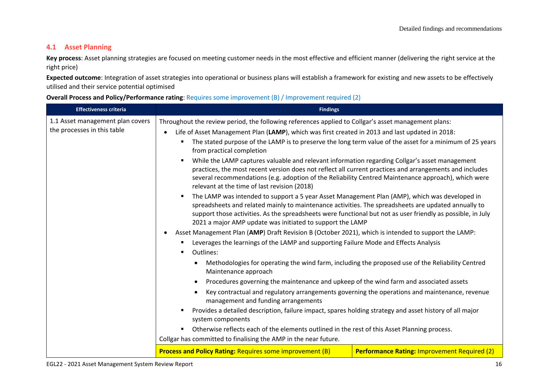# **4.1 Asset Planning**

Key process: Asset planning strategies are focused on meeting customer needs in the most effective and efficient manner (delivering the right service at the right price)

**Expected outcome**: Integration of asset strategies into operational or business plans will establish a framework for existing and new assets to be effectively utilised and their service potential optimised

| <b>Overall Process and Policy/Performance rating:</b> Requires some improvement (B) / Improvement required (2) |  |  |
|----------------------------------------------------------------------------------------------------------------|--|--|
|----------------------------------------------------------------------------------------------------------------|--|--|

| <b>Effectiveness criteria</b>                                   | <b>Findings</b>                                                                                                                                                                                                                                                                                                                                                                                                                                                                                                                                                                                                                                                                                                                                                                                                                                                                                                                                                                                                                                                                                                                                                                                                                                                                                                                                                                                                                                                                                                                                                                                                                                                                                                                                                                                                                                                 |
|-----------------------------------------------------------------|-----------------------------------------------------------------------------------------------------------------------------------------------------------------------------------------------------------------------------------------------------------------------------------------------------------------------------------------------------------------------------------------------------------------------------------------------------------------------------------------------------------------------------------------------------------------------------------------------------------------------------------------------------------------------------------------------------------------------------------------------------------------------------------------------------------------------------------------------------------------------------------------------------------------------------------------------------------------------------------------------------------------------------------------------------------------------------------------------------------------------------------------------------------------------------------------------------------------------------------------------------------------------------------------------------------------------------------------------------------------------------------------------------------------------------------------------------------------------------------------------------------------------------------------------------------------------------------------------------------------------------------------------------------------------------------------------------------------------------------------------------------------------------------------------------------------------------------------------------------------|
| 1.1 Asset management plan covers<br>the processes in this table | Throughout the review period, the following references applied to Collgar's asset management plans:<br>Life of Asset Management Plan (LAMP), which was first created in 2013 and last updated in 2018:<br>$\bullet$<br>The stated purpose of the LAMP is to preserve the long term value of the asset for a minimum of 25 years<br>٠<br>from practical completion<br>While the LAMP captures valuable and relevant information regarding Collgar's asset management<br>٠<br>practices, the most recent version does not reflect all current practices and arrangements and includes<br>several recommendations (e.g. adoption of the Reliability Centred Maintenance approach), which were<br>relevant at the time of last revision (2018)<br>The LAMP was intended to support a 5 year Asset Management Plan (AMP), which was developed in<br>spreadsheets and related mainly to maintenance activities. The spreadsheets are updated annually to<br>support those activities. As the spreadsheets were functional but not as user friendly as possible, in July<br>2021 a major AMP update was initiated to support the LAMP<br>Asset Management Plan (AMP) Draft Revision B (October 2021), which is intended to support the LAMP:<br>$\bullet$<br>Leverages the learnings of the LAMP and supporting Failure Mode and Effects Analysis<br>Outlines:<br>٠<br>Methodologies for operating the wind farm, including the proposed use of the Reliability Centred<br>Maintenance approach<br>Procedures governing the maintenance and upkeep of the wind farm and associated assets<br>$\bullet$<br>Key contractual and regulatory arrangements governing the operations and maintenance, revenue<br>$\bullet$<br>management and funding arrangements<br>Provides a detailed description, failure impact, spares holding strategy and asset history of all major |
|                                                                 | system components<br>Otherwise reflects each of the elements outlined in the rest of this Asset Planning process.<br>$\blacksquare$                                                                                                                                                                                                                                                                                                                                                                                                                                                                                                                                                                                                                                                                                                                                                                                                                                                                                                                                                                                                                                                                                                                                                                                                                                                                                                                                                                                                                                                                                                                                                                                                                                                                                                                             |
|                                                                 | Collgar has committed to finalising the AMP in the near future.                                                                                                                                                                                                                                                                                                                                                                                                                                                                                                                                                                                                                                                                                                                                                                                                                                                                                                                                                                                                                                                                                                                                                                                                                                                                                                                                                                                                                                                                                                                                                                                                                                                                                                                                                                                                 |
|                                                                 | <b>Performance Rating: Improvement Required (2)</b><br><b>Process and Policy Rating: Requires some improvement (B)</b>                                                                                                                                                                                                                                                                                                                                                                                                                                                                                                                                                                                                                                                                                                                                                                                                                                                                                                                                                                                                                                                                                                                                                                                                                                                                                                                                                                                                                                                                                                                                                                                                                                                                                                                                          |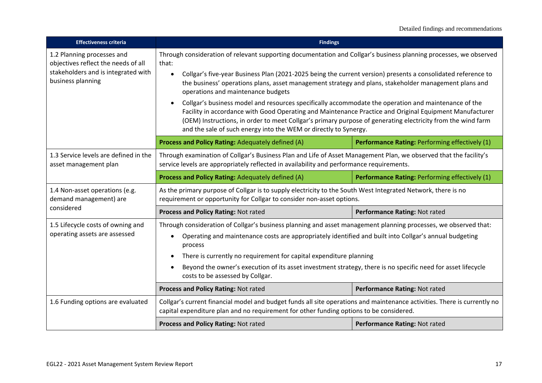| <b>Effectiveness criteria</b>                                                                                                 | <b>Findings</b>                                                                                                                                                                                                                                                                                                                                                                                                                                                                                                                                                                                                                                                                                                                                                                                                           |                                                |
|-------------------------------------------------------------------------------------------------------------------------------|---------------------------------------------------------------------------------------------------------------------------------------------------------------------------------------------------------------------------------------------------------------------------------------------------------------------------------------------------------------------------------------------------------------------------------------------------------------------------------------------------------------------------------------------------------------------------------------------------------------------------------------------------------------------------------------------------------------------------------------------------------------------------------------------------------------------------|------------------------------------------------|
| 1.2 Planning processes and<br>objectives reflect the needs of all<br>stakeholders and is integrated with<br>business planning | Through consideration of relevant supporting documentation and Collgar's business planning processes, we observed<br>that:<br>Collgar's five-year Business Plan (2021-2025 being the current version) presents a consolidated reference to<br>$\bullet$<br>the business' operations plans, asset management strategy and plans, stakeholder management plans and<br>operations and maintenance budgets<br>Collgar's business model and resources specifically accommodate the operation and maintenance of the<br>$\bullet$<br>Facility in accordance with Good Operating and Maintenance Practice and Original Equipment Manufacturer<br>(OEM) Instructions, in order to meet Collgar's primary purpose of generating electricity from the wind farm<br>and the sale of such energy into the WEM or directly to Synergy. |                                                |
|                                                                                                                               | Process and Policy Rating: Adequately defined (A)                                                                                                                                                                                                                                                                                                                                                                                                                                                                                                                                                                                                                                                                                                                                                                         | Performance Rating: Performing effectively (1) |
| 1.3 Service levels are defined in the<br>asset management plan                                                                | Through examination of Collgar's Business Plan and Life of Asset Management Plan, we observed that the facility's<br>service levels are appropriately reflected in availability and performance requirements.                                                                                                                                                                                                                                                                                                                                                                                                                                                                                                                                                                                                             |                                                |
|                                                                                                                               | Process and Policy Rating: Adequately defined (A)                                                                                                                                                                                                                                                                                                                                                                                                                                                                                                                                                                                                                                                                                                                                                                         | Performance Rating: Performing effectively (1) |
| 1.4 Non-asset operations (e.g.<br>demand management) are                                                                      | As the primary purpose of Collgar is to supply electricity to the South West Integrated Network, there is no<br>requirement or opportunity for Collgar to consider non-asset options.                                                                                                                                                                                                                                                                                                                                                                                                                                                                                                                                                                                                                                     |                                                |
| considered                                                                                                                    | Process and Policy Rating: Not rated                                                                                                                                                                                                                                                                                                                                                                                                                                                                                                                                                                                                                                                                                                                                                                                      | Performance Rating: Not rated                  |
| 1.5 Lifecycle costs of owning and<br>operating assets are assessed                                                            | Through consideration of Collgar's business planning and asset management planning processes, we observed that:<br>Operating and maintenance costs are appropriately identified and built into Collgar's annual budgeting<br>$\bullet$<br>process<br>There is currently no requirement for capital expenditure planning<br>Beyond the owner's execution of its asset investment strategy, there is no specific need for asset lifecycle<br>$\bullet$<br>costs to be assessed by Collgar.                                                                                                                                                                                                                                                                                                                                  |                                                |
|                                                                                                                               | Process and Policy Rating: Not rated                                                                                                                                                                                                                                                                                                                                                                                                                                                                                                                                                                                                                                                                                                                                                                                      | Performance Rating: Not rated                  |
| 1.6 Funding options are evaluated                                                                                             | Collgar's current financial model and budget funds all site operations and maintenance activities. There is currently no<br>capital expenditure plan and no requirement for other funding options to be considered.                                                                                                                                                                                                                                                                                                                                                                                                                                                                                                                                                                                                       |                                                |
|                                                                                                                               | Process and Policy Rating: Not rated                                                                                                                                                                                                                                                                                                                                                                                                                                                                                                                                                                                                                                                                                                                                                                                      | Performance Rating: Not rated                  |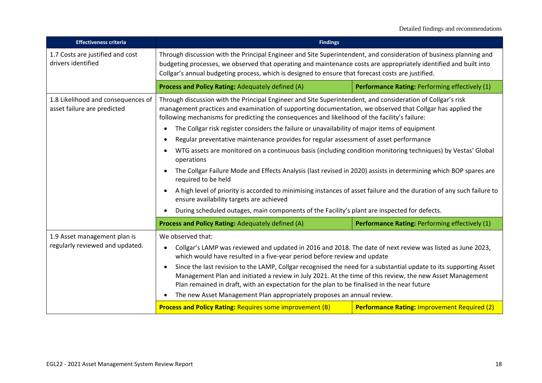| <b>Effectiveness criteria</b>                                     | <b>Findings</b>                                                                                                                                                                                                                                                                                                                                                                                                                                                                                                                                                                                                                                                                                                                                                                                                                                                                                                                                                                                                                      |                                                |
|-------------------------------------------------------------------|--------------------------------------------------------------------------------------------------------------------------------------------------------------------------------------------------------------------------------------------------------------------------------------------------------------------------------------------------------------------------------------------------------------------------------------------------------------------------------------------------------------------------------------------------------------------------------------------------------------------------------------------------------------------------------------------------------------------------------------------------------------------------------------------------------------------------------------------------------------------------------------------------------------------------------------------------------------------------------------------------------------------------------------|------------------------------------------------|
| 1.7 Costs are justified and cost<br>drivers identified            | Through discussion with the Principal Engineer and Site Superintendent, and consideration of business planning and<br>budgeting processes, we observed that operating and maintenance costs are appropriately identified and built into<br>Collgar's annual budgeting process, which is designed to ensure that forecast costs are justified.                                                                                                                                                                                                                                                                                                                                                                                                                                                                                                                                                                                                                                                                                        |                                                |
|                                                                   | Process and Policy Rating: Adequately defined (A)                                                                                                                                                                                                                                                                                                                                                                                                                                                                                                                                                                                                                                                                                                                                                                                                                                                                                                                                                                                    | Performance Rating: Performing effectively (1) |
| 1.8 Likelihood and consequences of<br>asset failure are predicted | Through discussion with the Principal Engineer and Site Superintendent, and consideration of Collgar's risk<br>management practices and examination of supporting documentation, we observed that Collgar has applied the<br>following mechanisms for predicting the consequences and likelihood of the facility's failure:<br>The Collgar risk register considers the failure or unavailability of major items of equipment<br>$\bullet$<br>Regular preventative maintenance provides for regular assessment of asset performance<br>$\bullet$<br>WTG assets are monitored on a continuous basis (including condition monitoring techniques) by Vestas' Global<br>$\bullet$<br>operations<br>The Collgar Failure Mode and Effects Analysis (last revised in 2020) assists in determining which BOP spares are<br>$\bullet$<br>required to be held<br>A high level of priority is accorded to minimising instances of asset failure and the duration of any such failure to<br>$\bullet$<br>ensure availability targets are achieved |                                                |
|                                                                   | During scheduled outages, main components of the Facility's plant are inspected for defects.<br>Process and Policy Rating: Adequately defined (A)                                                                                                                                                                                                                                                                                                                                                                                                                                                                                                                                                                                                                                                                                                                                                                                                                                                                                    | Performance Rating: Performing effectively (1) |
| 1.9 Asset management plan is<br>regularly reviewed and updated.   | We observed that:<br>Collgar's LAMP was reviewed and updated in 2016 and 2018. The date of next review was listed as June 2023,<br>$\bullet$<br>which would have resulted in a five-year period before review and update<br>Since the last revision to the LAMP, Collgar recognised the need for a substantial update to its supporting Asset<br>$\bullet$<br>Management Plan and initiated a review in July 2021. At the time of this review, the new Asset Management<br>Plan remained in draft, with an expectation for the plan to be finalised in the near future<br>The new Asset Management Plan appropriately proposes an annual review.<br>$\bullet$<br><b>Process and Policy Rating: Requires some improvement (B)</b><br><b>Performance Rating: Improvement Required (2)</b>                                                                                                                                                                                                                                              |                                                |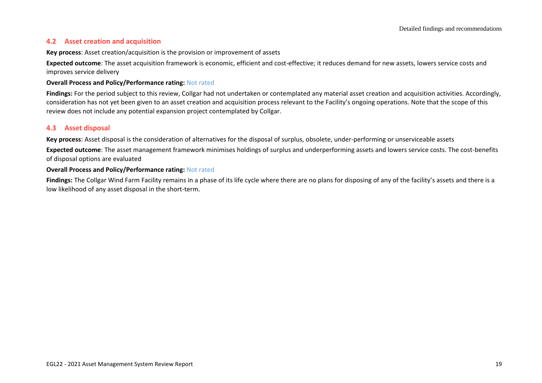## **4.2 Asset creation and acquisition**

### **Key process**: Asset creation/acquisition is the provision or improvement of assets

**Expected outcome**: The asset acquisition framework is economic, efficient and cost-effective; it reduces demand for new assets, lowers service costs and improves service delivery

### **Overall Process and Policy/Performance rating:** Not rated

**Findings:** For the period subject to this review, Collgar had not undertaken or contemplated any material asset creation and acquisition activities. Accordingly, consideration has not yet been given to an asset creation and acquisition process relevant to the Facility's ongoing operations. Note that the scope of this review does not include any potential expansion project contemplated by Collgar.

### **4.3 Asset disposal**

**Key process**: Asset disposal is the consideration of alternatives for the disposal of surplus, obsolete, under-performing or unserviceable assets

**Expected outcome**: The asset management framework minimises holdings of surplus and underperforming assets and lowers service costs. The cost-benefits of disposal options are evaluated

### **Overall Process and Policy/Performance rating:** Not rated

**Findings:** The Collgar Wind Farm Facility remains in a phase of its life cycle where there are no plans for disposing of any of the facility's assets and there is a low likelihood of any asset disposal in the short-term.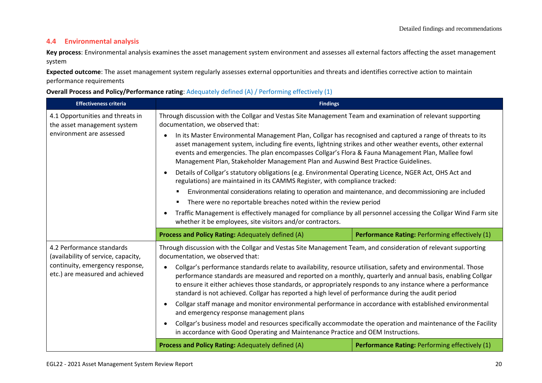# **4.4 Environmental analysis**

**Key process**: Environmental analysis examines the asset management system environment and assesses all external factors affecting the asset management system

**Expected outcome**: The asset management system regularly assesses external opportunities and threats and identifies corrective action to maintain performance requirements

### **Overall Process and Policy/Performance rating**: Adequately defined (A) / Performing effectively (1)

| <b>Effectiveness criteria</b>                                                                                                          | <b>Findings</b>                                                                                                                                                                                                                                                                                                                                                                                                                                                                                                                                                                                                                                                                                                                                                                                                                                                                                                                                                                                                                                                                                                |                                                |
|----------------------------------------------------------------------------------------------------------------------------------------|----------------------------------------------------------------------------------------------------------------------------------------------------------------------------------------------------------------------------------------------------------------------------------------------------------------------------------------------------------------------------------------------------------------------------------------------------------------------------------------------------------------------------------------------------------------------------------------------------------------------------------------------------------------------------------------------------------------------------------------------------------------------------------------------------------------------------------------------------------------------------------------------------------------------------------------------------------------------------------------------------------------------------------------------------------------------------------------------------------------|------------------------------------------------|
| 4.1 Opportunities and threats in<br>the asset management system<br>environment are assessed                                            | Through discussion with the Collgar and Vestas Site Management Team and examination of relevant supporting<br>documentation, we observed that:                                                                                                                                                                                                                                                                                                                                                                                                                                                                                                                                                                                                                                                                                                                                                                                                                                                                                                                                                                 |                                                |
|                                                                                                                                        | In its Master Environmental Management Plan, Collgar has recognised and captured a range of threats to its<br>$\bullet$<br>asset management system, including fire events, lightning strikes and other weather events, other external<br>events and emergencies. The plan encompasses Collgar's Flora & Fauna Management Plan, Mallee fowl<br>Management Plan, Stakeholder Management Plan and Auswind Best Practice Guidelines.                                                                                                                                                                                                                                                                                                                                                                                                                                                                                                                                                                                                                                                                               |                                                |
|                                                                                                                                        | Details of Collgar's statutory obligations (e.g. Environmental Operating Licence, NGER Act, OHS Act and<br>$\bullet$<br>regulations) are maintained in its CAMMS Register, with compliance tracked:                                                                                                                                                                                                                                                                                                                                                                                                                                                                                                                                                                                                                                                                                                                                                                                                                                                                                                            |                                                |
|                                                                                                                                        | Environmental considerations relating to operation and maintenance, and decommissioning are included<br>٠                                                                                                                                                                                                                                                                                                                                                                                                                                                                                                                                                                                                                                                                                                                                                                                                                                                                                                                                                                                                      |                                                |
|                                                                                                                                        | There were no reportable breaches noted within the review period<br>٠<br>Traffic Management is effectively managed for compliance by all personnel accessing the Collgar Wind Farm site<br>$\bullet$<br>whether it be employees, site visitors and/or contractors.                                                                                                                                                                                                                                                                                                                                                                                                                                                                                                                                                                                                                                                                                                                                                                                                                                             |                                                |
|                                                                                                                                        | Process and Policy Rating: Adequately defined (A)                                                                                                                                                                                                                                                                                                                                                                                                                                                                                                                                                                                                                                                                                                                                                                                                                                                                                                                                                                                                                                                              | Performance Rating: Performing effectively (1) |
| 4.2 Performance standards<br>(availability of service, capacity,<br>continuity, emergency response,<br>etc.) are measured and achieved | Through discussion with the Collgar and Vestas Site Management Team, and consideration of relevant supporting<br>documentation, we observed that:<br>Collgar's performance standards relate to availability, resource utilisation, safety and environmental. Those<br>$\bullet$<br>performance standards are measured and reported on a monthly, quarterly and annual basis, enabling Collgar<br>to ensure it either achieves those standards, or appropriately responds to any instance where a performance<br>standard is not achieved. Collgar has reported a high level of performance during the audit period<br>Collgar staff manage and monitor environmental performance in accordance with established environmental<br>$\bullet$<br>and emergency response management plans<br>Collgar's business model and resources specifically accommodate the operation and maintenance of the Facility<br>$\bullet$<br>in accordance with Good Operating and Maintenance Practice and OEM Instructions.<br>Process and Policy Rating: Adequately defined (A)<br>Performance Rating: Performing effectively (1) |                                                |
|                                                                                                                                        |                                                                                                                                                                                                                                                                                                                                                                                                                                                                                                                                                                                                                                                                                                                                                                                                                                                                                                                                                                                                                                                                                                                |                                                |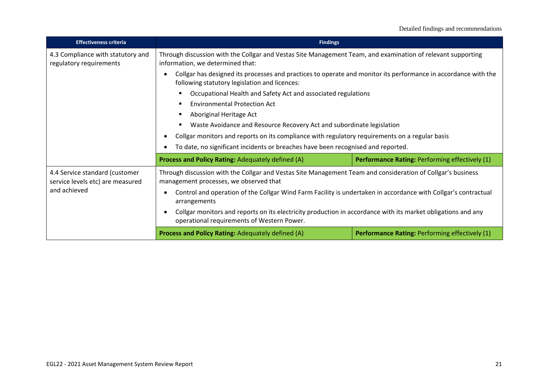| <b>Effectiveness criteria</b>                                                      | <b>Findings</b>                                                                                                                                                                                                                                                                                                    |                                                |
|------------------------------------------------------------------------------------|--------------------------------------------------------------------------------------------------------------------------------------------------------------------------------------------------------------------------------------------------------------------------------------------------------------------|------------------------------------------------|
| 4.3 Compliance with statutory and<br>regulatory requirements                       | Through discussion with the Collgar and Vestas Site Management Team, and examination of relevant supporting<br>information, we determined that:<br>Collgar has designed its processes and practices to operate and monitor its performance in accordance with the<br>following statutory legislation and licences: |                                                |
|                                                                                    |                                                                                                                                                                                                                                                                                                                    |                                                |
|                                                                                    | Occupational Health and Safety Act and associated regulations                                                                                                                                                                                                                                                      |                                                |
|                                                                                    | <b>Environmental Protection Act</b><br>Aboriginal Heritage Act<br>Waste Avoidance and Resource Recovery Act and subordinate legislation<br>Collgar monitors and reports on its compliance with regulatory requirements on a regular basis                                                                          |                                                |
|                                                                                    |                                                                                                                                                                                                                                                                                                                    |                                                |
|                                                                                    |                                                                                                                                                                                                                                                                                                                    |                                                |
|                                                                                    |                                                                                                                                                                                                                                                                                                                    |                                                |
|                                                                                    | To date, no significant incidents or breaches have been recognised and reported.                                                                                                                                                                                                                                   |                                                |
|                                                                                    | <b>Process and Policy Rating: Adequately defined (A)</b>                                                                                                                                                                                                                                                           | Performance Rating: Performing effectively (1) |
| 4.4 Service standard (customer<br>service levels etc) are measured<br>and achieved | Through discussion with the Collgar and Vestas Site Management Team and consideration of Collgar's business<br>management processes, we observed that                                                                                                                                                              |                                                |
|                                                                                    | Control and operation of the Collgar Wind Farm Facility is undertaken in accordance with Collgar's contractual<br>arrangements                                                                                                                                                                                     |                                                |
|                                                                                    | Collgar monitors and reports on its electricity production in accordance with its market obligations and any<br>$\epsilon$<br>operational requirements of Western Power.                                                                                                                                           |                                                |
|                                                                                    | <b>Performance Rating: Performing effectively (1)</b><br><b>Process and Policy Rating: Adequately defined (A)</b>                                                                                                                                                                                                  |                                                |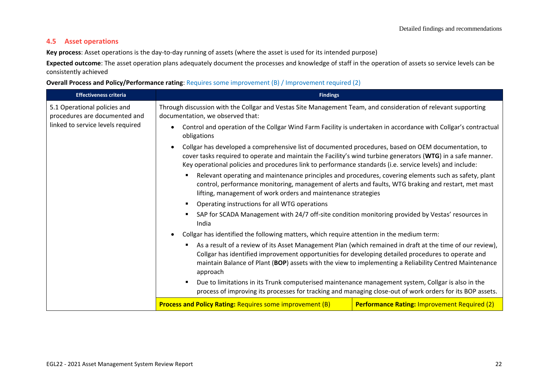# **4.5 Asset operations**

**Key process**: Asset operations is the day-to-day running of assets (where the asset is used for its intended purpose)

**Expected outcome**: The asset operation plans adequately document the processes and knowledge of staff in the operation of assets so service levels can be consistently achieved

**Overall Process and Policy/Performance rating**: Requires some improvement (B) / Improvement required (2)

| <b>Effectiveness criteria</b>                                 | <b>Findings</b>                                                                                                                                                                                                                                                                                                                             |  |
|---------------------------------------------------------------|---------------------------------------------------------------------------------------------------------------------------------------------------------------------------------------------------------------------------------------------------------------------------------------------------------------------------------------------|--|
| 5.1 Operational policies and<br>procedures are documented and | Through discussion with the Collgar and Vestas Site Management Team, and consideration of relevant supporting<br>documentation, we observed that:                                                                                                                                                                                           |  |
| linked to service levels required                             | Control and operation of the Collgar Wind Farm Facility is undertaken in accordance with Collgar's contractual<br>obligations                                                                                                                                                                                                               |  |
|                                                               | Collgar has developed a comprehensive list of documented procedures, based on OEM documentation, to<br>$\bullet$<br>cover tasks required to operate and maintain the Facility's wind turbine generators (WTG) in a safe manner.<br>Key operational policies and procedures link to performance standards (i.e. service levels) and include: |  |
|                                                               | Relevant operating and maintenance principles and procedures, covering elements such as safety, plant<br>control, performance monitoring, management of alerts and faults, WTG braking and restart, met mast<br>lifting, management of work orders and maintenance strategies                                                               |  |
|                                                               | Operating instructions for all WTG operations                                                                                                                                                                                                                                                                                               |  |
|                                                               | SAP for SCADA Management with 24/7 off-site condition monitoring provided by Vestas' resources in<br>India                                                                                                                                                                                                                                  |  |
|                                                               | Collgar has identified the following matters, which require attention in the medium term:                                                                                                                                                                                                                                                   |  |
|                                                               | As a result of a review of its Asset Management Plan (which remained in draft at the time of our review),<br>Collgar has identified improvement opportunities for developing detailed procedures to operate and<br>maintain Balance of Plant (BOP) assets with the view to implementing a Reliability Centred Maintenance<br>approach       |  |
|                                                               | Due to limitations in its Trunk computerised maintenance management system, Collgar is also in the<br>process of improving its processes for tracking and managing close-out of work orders for its BOP assets.                                                                                                                             |  |
|                                                               | <b>Process and Policy Rating: Requires some improvement (B)</b><br><b>Performance Rating: Improvement Required (2)</b>                                                                                                                                                                                                                      |  |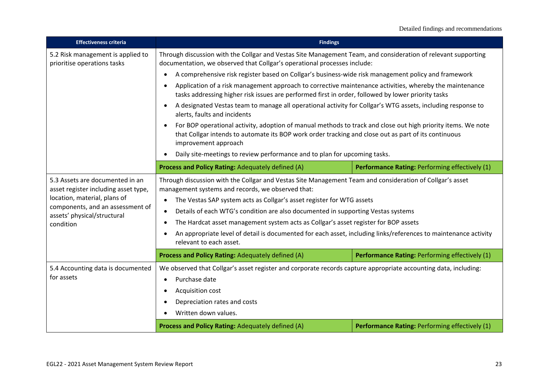| <b>Effectiveness criteria</b>                                                                                                                                              | <b>Findings</b>                                                                                                                                                                                                                                                                                                                                      |                                                |
|----------------------------------------------------------------------------------------------------------------------------------------------------------------------------|------------------------------------------------------------------------------------------------------------------------------------------------------------------------------------------------------------------------------------------------------------------------------------------------------------------------------------------------------|------------------------------------------------|
| 5.2 Risk management is applied to<br>prioritise operations tasks                                                                                                           | Through discussion with the Collgar and Vestas Site Management Team, and consideration of relevant supporting<br>documentation, we observed that Collgar's operational processes include:                                                                                                                                                            |                                                |
|                                                                                                                                                                            | A comprehensive risk register based on Collgar's business-wide risk management policy and framework<br>$\bullet$                                                                                                                                                                                                                                     |                                                |
|                                                                                                                                                                            | Application of a risk management approach to corrective maintenance activities, whereby the maintenance<br>$\bullet$<br>tasks addressing higher risk issues are performed first in order, followed by lower priority tasks                                                                                                                           |                                                |
|                                                                                                                                                                            | A designated Vestas team to manage all operational activity for Collgar's WTG assets, including response to<br>$\bullet$<br>alerts, faults and incidents                                                                                                                                                                                             |                                                |
|                                                                                                                                                                            | For BOP operational activity, adoption of manual methods to track and close out high priority items. We note<br>$\bullet$<br>that Collgar intends to automate its BOP work order tracking and close out as part of its continuous<br>improvement approach                                                                                            |                                                |
|                                                                                                                                                                            | Daily site-meetings to review performance and to plan for upcoming tasks.                                                                                                                                                                                                                                                                            |                                                |
|                                                                                                                                                                            | Process and Policy Rating: Adequately defined (A)                                                                                                                                                                                                                                                                                                    | Performance Rating: Performing effectively (1) |
| 5.3 Assets are documented in an<br>asset register including asset type,<br>location, material, plans of<br>components, and an assessment of<br>assets' physical/structural | Through discussion with the Collgar and Vestas Site Management Team and consideration of Collgar's asset<br>management systems and records, we observed that:<br>The Vestas SAP system acts as Collgar's asset register for WTG assets<br>$\bullet$<br>Details of each WTG's condition are also documented in supporting Vestas systems<br>$\bullet$ |                                                |
| condition                                                                                                                                                                  | The Hardcat asset management system acts as Collgar's asset register for BOP assets<br>$\bullet$                                                                                                                                                                                                                                                     |                                                |
|                                                                                                                                                                            | An appropriate level of detail is documented for each asset, including links/references to maintenance activity<br>$\bullet$<br>relevant to each asset.                                                                                                                                                                                              |                                                |
|                                                                                                                                                                            | Process and Policy Rating: Adequately defined (A)                                                                                                                                                                                                                                                                                                    | Performance Rating: Performing effectively (1) |
| 5.4 Accounting data is documented<br>for assets                                                                                                                            | We observed that Collgar's asset register and corporate records capture appropriate accounting data, including:<br>Purchase date<br>$\bullet$<br>Acquisition cost<br>$\bullet$<br>Depreciation rates and costs<br>$\bullet$<br>Written down values.<br>$\bullet$                                                                                     |                                                |
| Process and Policy Rating: Adequately defined (A)                                                                                                                          |                                                                                                                                                                                                                                                                                                                                                      | Performance Rating: Performing effectively (1) |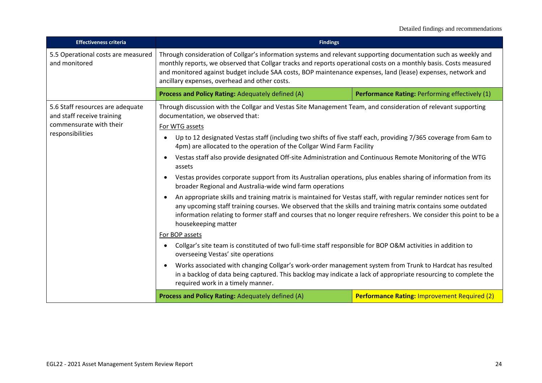| <b>Effectiveness criteria</b>                                                                                 | <b>Findings</b>                                                                                                                                                                                                                                                                                                                                                                                                                                                                                                                                                                                                                                                                                                                                                                                                                                                                                                                                                                                                                                                                                                                                                                                                                                                                                                                                                                                                                                                                                |                                                |
|---------------------------------------------------------------------------------------------------------------|------------------------------------------------------------------------------------------------------------------------------------------------------------------------------------------------------------------------------------------------------------------------------------------------------------------------------------------------------------------------------------------------------------------------------------------------------------------------------------------------------------------------------------------------------------------------------------------------------------------------------------------------------------------------------------------------------------------------------------------------------------------------------------------------------------------------------------------------------------------------------------------------------------------------------------------------------------------------------------------------------------------------------------------------------------------------------------------------------------------------------------------------------------------------------------------------------------------------------------------------------------------------------------------------------------------------------------------------------------------------------------------------------------------------------------------------------------------------------------------------|------------------------------------------------|
| 5.5 Operational costs are measured<br>and monitored                                                           | Through consideration of Collgar's information systems and relevant supporting documentation such as weekly and<br>monthly reports, we observed that Collgar tracks and reports operational costs on a monthly basis. Costs measured<br>and monitored against budget include SAA costs, BOP maintenance expenses, land (lease) expenses, network and<br>ancillary expenses, overhead and other costs.                                                                                                                                                                                                                                                                                                                                                                                                                                                                                                                                                                                                                                                                                                                                                                                                                                                                                                                                                                                                                                                                                          |                                                |
|                                                                                                               | Process and Policy Rating: Adequately defined (A)                                                                                                                                                                                                                                                                                                                                                                                                                                                                                                                                                                                                                                                                                                                                                                                                                                                                                                                                                                                                                                                                                                                                                                                                                                                                                                                                                                                                                                              | Performance Rating: Performing effectively (1) |
| 5.6 Staff resources are adequate<br>and staff receive training<br>commensurate with their<br>responsibilities | Through discussion with the Collgar and Vestas Site Management Team, and consideration of relevant supporting<br>documentation, we observed that:<br>For WTG assets<br>Up to 12 designated Vestas staff (including two shifts of five staff each, providing 7/365 coverage from 6am to<br>4pm) are allocated to the operation of the Collgar Wind Farm Facility<br>Vestas staff also provide designated Off-site Administration and Continuous Remote Monitoring of the WTG<br>assets<br>Vestas provides corporate support from its Australian operations, plus enables sharing of information from its<br>broader Regional and Australia-wide wind farm operations<br>An appropriate skills and training matrix is maintained for Vestas staff, with regular reminder notices sent for<br>any upcoming staff training courses. We observed that the skills and training matrix contains some outdated<br>information relating to former staff and courses that no longer require refreshers. We consider this point to be a<br>housekeeping matter<br>For BOP assets<br>Collgar's site team is constituted of two full-time staff responsible for BOP O&M activities in addition to<br>overseeing Vestas' site operations<br>Works associated with changing Collgar's work-order management system from Trunk to Hardcat has resulted<br>in a backlog of data being captured. This backlog may indicate a lack of appropriate resourcing to complete the<br>required work in a timely manner. |                                                |
|                                                                                                               | <b>Performance Rating: Improvement Required (2)</b><br>Process and Policy Rating: Adequately defined (A)                                                                                                                                                                                                                                                                                                                                                                                                                                                                                                                                                                                                                                                                                                                                                                                                                                                                                                                                                                                                                                                                                                                                                                                                                                                                                                                                                                                       |                                                |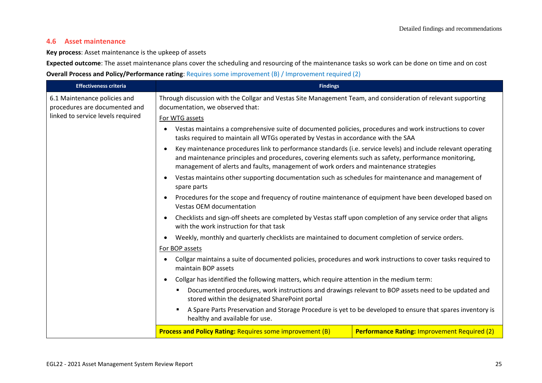## **4.6 Asset maintenance**

**Key process**: Asset maintenance is the upkeep of assets

**Expected outcome**: The asset maintenance plans cover the scheduling and resourcing of the maintenance tasks so work can be done on time and on cost **Overall Process and Policy/Performance rating**: Requires some improvement (B) / Improvement required (2)

| <b>Effectiveness criteria</b>                                                                                                                                                                                                                                                                                  | <b>Findings</b>                                                                                                                                                                                                                                                                                        |                                                                                                                                                                                                                                           |  |
|----------------------------------------------------------------------------------------------------------------------------------------------------------------------------------------------------------------------------------------------------------------------------------------------------------------|--------------------------------------------------------------------------------------------------------------------------------------------------------------------------------------------------------------------------------------------------------------------------------------------------------|-------------------------------------------------------------------------------------------------------------------------------------------------------------------------------------------------------------------------------------------|--|
| 6.1 Maintenance policies and<br>procedures are documented and                                                                                                                                                                                                                                                  | Through discussion with the Collgar and Vestas Site Management Team, and consideration of relevant supporting<br>documentation, we observed that:                                                                                                                                                      |                                                                                                                                                                                                                                           |  |
| linked to service levels required                                                                                                                                                                                                                                                                              | For WTG assets                                                                                                                                                                                                                                                                                         |                                                                                                                                                                                                                                           |  |
|                                                                                                                                                                                                                                                                                                                | Vestas maintains a comprehensive suite of documented policies, procedures and work instructions to cover<br>tasks required to maintain all WTGs operated by Vestas in accordance with the SAA                                                                                                          |                                                                                                                                                                                                                                           |  |
| Key maintenance procedures link to performance standards (i.e. service levels) and include relevant operating<br>and maintenance principles and procedures, covering elements such as safety, performance monitoring,<br>management of alerts and faults, management of work orders and maintenance strategies |                                                                                                                                                                                                                                                                                                        |                                                                                                                                                                                                                                           |  |
|                                                                                                                                                                                                                                                                                                                | spare parts                                                                                                                                                                                                                                                                                            | Vestas maintains other supporting documentation such as schedules for maintenance and management of                                                                                                                                       |  |
|                                                                                                                                                                                                                                                                                                                | Procedures for the scope and frequency of routine maintenance of equipment have been developed based on<br><b>Vestas OEM documentation</b><br>Checklists and sign-off sheets are completed by Vestas staff upon completion of any service order that aligns<br>with the work instruction for that task |                                                                                                                                                                                                                                           |  |
|                                                                                                                                                                                                                                                                                                                |                                                                                                                                                                                                                                                                                                        |                                                                                                                                                                                                                                           |  |
|                                                                                                                                                                                                                                                                                                                |                                                                                                                                                                                                                                                                                                        | Weekly, monthly and quarterly checklists are maintained to document completion of service orders.<br>Collgar maintains a suite of documented policies, procedures and work instructions to cover tasks required to<br>maintain BOP assets |  |
|                                                                                                                                                                                                                                                                                                                | For BOP assets                                                                                                                                                                                                                                                                                         |                                                                                                                                                                                                                                           |  |
|                                                                                                                                                                                                                                                                                                                |                                                                                                                                                                                                                                                                                                        |                                                                                                                                                                                                                                           |  |
|                                                                                                                                                                                                                                                                                                                | Collgar has identified the following matters, which require attention in the medium term:<br>$\bullet$                                                                                                                                                                                                 |                                                                                                                                                                                                                                           |  |
|                                                                                                                                                                                                                                                                                                                | Documented procedures, work instructions and drawings relevant to BOP assets need to be updated and<br>stored within the designated SharePoint portal                                                                                                                                                  |                                                                                                                                                                                                                                           |  |
|                                                                                                                                                                                                                                                                                                                | A Spare Parts Preservation and Storage Procedure is yet to be developed to ensure that spares inventory is<br>healthy and available for use.                                                                                                                                                           |                                                                                                                                                                                                                                           |  |
|                                                                                                                                                                                                                                                                                                                | <b>Process and Policy Rating: Requires some improvement (B)</b>                                                                                                                                                                                                                                        | <b>Performance Rating: Improvement Required (2)</b>                                                                                                                                                                                       |  |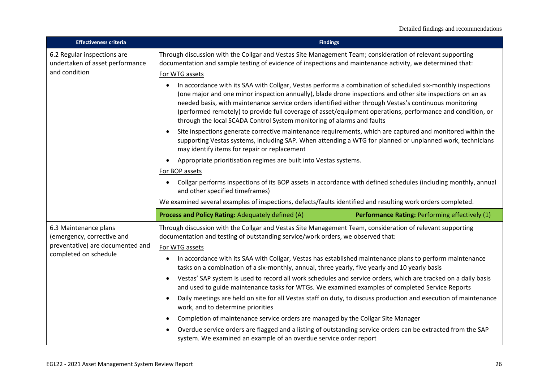| <b>Effectiveness criteria</b>                                                                                    | <b>Findings</b>                                                                                                                                                                                                                                                                                                                                                                                                                                                                                                             |                                                |
|------------------------------------------------------------------------------------------------------------------|-----------------------------------------------------------------------------------------------------------------------------------------------------------------------------------------------------------------------------------------------------------------------------------------------------------------------------------------------------------------------------------------------------------------------------------------------------------------------------------------------------------------------------|------------------------------------------------|
| 6.2 Regular inspections are<br>undertaken of asset performance<br>and condition                                  | Through discussion with the Collgar and Vestas Site Management Team; consideration of relevant supporting<br>documentation and sample testing of evidence of inspections and maintenance activity, we determined that:<br>For WTG assets                                                                                                                                                                                                                                                                                    |                                                |
|                                                                                                                  | In accordance with its SAA with Collgar, Vestas performs a combination of scheduled six-monthly inspections<br>(one major and one minor inspection annually), blade drone inspections and other site inspections on an as<br>needed basis, with maintenance service orders identified either through Vestas's continuous monitoring<br>(performed remotely) to provide full coverage of asset/equipment operations, performance and condition, or<br>through the local SCADA Control System monitoring of alarms and faults |                                                |
|                                                                                                                  | Site inspections generate corrective maintenance requirements, which are captured and monitored within the<br>supporting Vestas systems, including SAP. When attending a WTG for planned or unplanned work, technicians<br>may identify items for repair or replacement                                                                                                                                                                                                                                                     |                                                |
|                                                                                                                  | Appropriate prioritisation regimes are built into Vestas systems.                                                                                                                                                                                                                                                                                                                                                                                                                                                           |                                                |
|                                                                                                                  | For BOP assets                                                                                                                                                                                                                                                                                                                                                                                                                                                                                                              |                                                |
|                                                                                                                  | Collgar performs inspections of its BOP assets in accordance with defined schedules (including monthly, annual<br>and other specified timeframes)                                                                                                                                                                                                                                                                                                                                                                           |                                                |
|                                                                                                                  | We examined several examples of inspections, defects/faults identified and resulting work orders completed.                                                                                                                                                                                                                                                                                                                                                                                                                 |                                                |
|                                                                                                                  | Process and Policy Rating: Adequately defined (A)                                                                                                                                                                                                                                                                                                                                                                                                                                                                           | Performance Rating: Performing effectively (1) |
| 6.3 Maintenance plans<br>(emergency, corrective and<br>preventative) are documented and<br>completed on schedule | Through discussion with the Collgar and Vestas Site Management Team, consideration of relevant supporting<br>documentation and testing of outstanding service/work orders, we observed that:<br>For WTG assets                                                                                                                                                                                                                                                                                                              |                                                |
|                                                                                                                  | In accordance with its SAA with Collgar, Vestas has established maintenance plans to perform maintenance<br>tasks on a combination of a six-monthly, annual, three yearly, five yearly and 10 yearly basis                                                                                                                                                                                                                                                                                                                  |                                                |
|                                                                                                                  | Vestas' SAP system is used to record all work schedules and service orders, which are tracked on a daily basis<br>and used to guide maintenance tasks for WTGs. We examined examples of completed Service Reports                                                                                                                                                                                                                                                                                                           |                                                |
|                                                                                                                  | Daily meetings are held on site for all Vestas staff on duty, to discuss production and execution of maintenance<br>work, and to determine priorities                                                                                                                                                                                                                                                                                                                                                                       |                                                |
|                                                                                                                  | Completion of maintenance service orders are managed by the Collgar Site Manager<br>$\bullet$                                                                                                                                                                                                                                                                                                                                                                                                                               |                                                |
|                                                                                                                  | Overdue service orders are flagged and a listing of outstanding service orders can be extracted from the SAP<br>system. We examined an example of an overdue service order report                                                                                                                                                                                                                                                                                                                                           |                                                |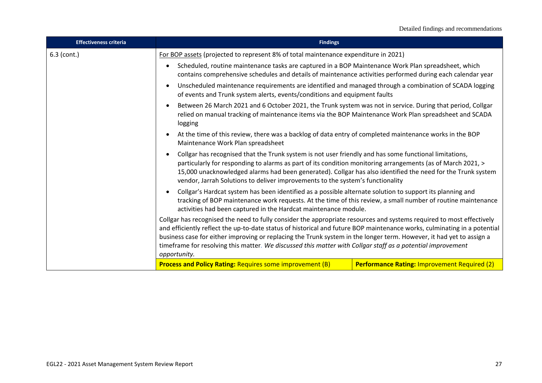| <b>Effectiveness criteria</b> | <b>Findings</b>                                                                                                                                                                                                                                                                                                                                                                                                                                                                                         |                                                                                                                                                                                                                                                                                                                                                                                                                                                                                                                                                                                                                                                                                                                                                                                                                                                                                                                                                                                                                                                                                                                                                                                                                                                                                                                                                                                                                                                                                                                       |  |
|-------------------------------|---------------------------------------------------------------------------------------------------------------------------------------------------------------------------------------------------------------------------------------------------------------------------------------------------------------------------------------------------------------------------------------------------------------------------------------------------------------------------------------------------------|-----------------------------------------------------------------------------------------------------------------------------------------------------------------------------------------------------------------------------------------------------------------------------------------------------------------------------------------------------------------------------------------------------------------------------------------------------------------------------------------------------------------------------------------------------------------------------------------------------------------------------------------------------------------------------------------------------------------------------------------------------------------------------------------------------------------------------------------------------------------------------------------------------------------------------------------------------------------------------------------------------------------------------------------------------------------------------------------------------------------------------------------------------------------------------------------------------------------------------------------------------------------------------------------------------------------------------------------------------------------------------------------------------------------------------------------------------------------------------------------------------------------------|--|
| $6.3$ (cont.)                 | For BOP assets (projected to represent 8% of total maintenance expenditure in 2021)                                                                                                                                                                                                                                                                                                                                                                                                                     |                                                                                                                                                                                                                                                                                                                                                                                                                                                                                                                                                                                                                                                                                                                                                                                                                                                                                                                                                                                                                                                                                                                                                                                                                                                                                                                                                                                                                                                                                                                       |  |
|                               | $\bullet$                                                                                                                                                                                                                                                                                                                                                                                                                                                                                               | Scheduled, routine maintenance tasks are captured in a BOP Maintenance Work Plan spreadsheet, which<br>contains comprehensive schedules and details of maintenance activities performed during each calendar year<br>Unscheduled maintenance requirements are identified and managed through a combination of SCADA logging<br>of events and Trunk system alerts, events/conditions and equipment faults<br>Between 26 March 2021 and 6 October 2021, the Trunk system was not in service. During that period, Collgar<br>relied on manual tracking of maintenance items via the BOP Maintenance Work Plan spreadsheet and SCADA<br>logging<br>At the time of this review, there was a backlog of data entry of completed maintenance works in the BOP<br>Maintenance Work Plan spreadsheet<br>Collgar has recognised that the Trunk system is not user friendly and has some functional limitations,<br>particularly for responding to alarms as part of its condition monitoring arrangements (as of March 2021, ><br>15,000 unacknowledged alarms had been generated). Collgar has also identified the need for the Trunk system<br>vendor, Jarrah Solutions to deliver improvements to the system's functionality<br>Collgar's Hardcat system has been identified as a possible alternate solution to support its planning and<br>tracking of BOP maintenance work requests. At the time of this review, a small number of routine maintenance<br>activities had been captured in the Hardcat maintenance module. |  |
|                               |                                                                                                                                                                                                                                                                                                                                                                                                                                                                                                         |                                                                                                                                                                                                                                                                                                                                                                                                                                                                                                                                                                                                                                                                                                                                                                                                                                                                                                                                                                                                                                                                                                                                                                                                                                                                                                                                                                                                                                                                                                                       |  |
|                               |                                                                                                                                                                                                                                                                                                                                                                                                                                                                                                         |                                                                                                                                                                                                                                                                                                                                                                                                                                                                                                                                                                                                                                                                                                                                                                                                                                                                                                                                                                                                                                                                                                                                                                                                                                                                                                                                                                                                                                                                                                                       |  |
|                               |                                                                                                                                                                                                                                                                                                                                                                                                                                                                                                         |                                                                                                                                                                                                                                                                                                                                                                                                                                                                                                                                                                                                                                                                                                                                                                                                                                                                                                                                                                                                                                                                                                                                                                                                                                                                                                                                                                                                                                                                                                                       |  |
|                               |                                                                                                                                                                                                                                                                                                                                                                                                                                                                                                         |                                                                                                                                                                                                                                                                                                                                                                                                                                                                                                                                                                                                                                                                                                                                                                                                                                                                                                                                                                                                                                                                                                                                                                                                                                                                                                                                                                                                                                                                                                                       |  |
|                               |                                                                                                                                                                                                                                                                                                                                                                                                                                                                                                         |                                                                                                                                                                                                                                                                                                                                                                                                                                                                                                                                                                                                                                                                                                                                                                                                                                                                                                                                                                                                                                                                                                                                                                                                                                                                                                                                                                                                                                                                                                                       |  |
|                               | Collgar has recognised the need to fully consider the appropriate resources and systems required to most effectively<br>and efficiently reflect the up-to-date status of historical and future BOP maintenance works, culminating in a potential<br>business case for either improving or replacing the Trunk system in the longer term. However, it had yet to assign a<br>timeframe for resolving this matter. We discussed this matter with Collgar staff as a potential improvement<br>opportunity. |                                                                                                                                                                                                                                                                                                                                                                                                                                                                                                                                                                                                                                                                                                                                                                                                                                                                                                                                                                                                                                                                                                                                                                                                                                                                                                                                                                                                                                                                                                                       |  |
|                               | <b>Process and Policy Rating: Requires some improvement (B)</b>                                                                                                                                                                                                                                                                                                                                                                                                                                         | <b>Performance Rating: Improvement Required (2)</b>                                                                                                                                                                                                                                                                                                                                                                                                                                                                                                                                                                                                                                                                                                                                                                                                                                                                                                                                                                                                                                                                                                                                                                                                                                                                                                                                                                                                                                                                   |  |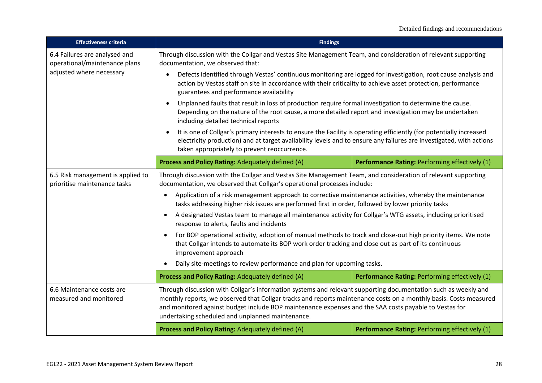| <b>Effectiveness criteria</b>                                     | <b>Findings</b>                                                                                                                                                                                                                                                                                                                                                                                                         |                                                |
|-------------------------------------------------------------------|-------------------------------------------------------------------------------------------------------------------------------------------------------------------------------------------------------------------------------------------------------------------------------------------------------------------------------------------------------------------------------------------------------------------------|------------------------------------------------|
| 6.4 Failures are analysed and<br>operational/maintenance plans    | Through discussion with the Collgar and Vestas Site Management Team, and consideration of relevant supporting<br>documentation, we observed that:                                                                                                                                                                                                                                                                       |                                                |
| adjusted where necessary                                          | Defects identified through Vestas' continuous monitoring are logged for investigation, root cause analysis and<br>$\bullet$<br>action by Vestas staff on site in accordance with their criticality to achieve asset protection, performance<br>guarantees and performance availability                                                                                                                                  |                                                |
|                                                                   | Unplanned faults that result in loss of production require formal investigation to determine the cause.<br>$\bullet$<br>Depending on the nature of the root cause, a more detailed report and investigation may be undertaken<br>including detailed technical reports                                                                                                                                                   |                                                |
|                                                                   | It is one of Collgar's primary interests to ensure the Facility is operating efficiently (for potentially increased<br>electricity production) and at target availability levels and to ensure any failures are investigated, with actions<br>taken appropriately to prevent reoccurrence.                                                                                                                              |                                                |
|                                                                   | Process and Policy Rating: Adequately defined (A)                                                                                                                                                                                                                                                                                                                                                                       | Performance Rating: Performing effectively (1) |
| 6.5 Risk management is applied to<br>prioritise maintenance tasks | Through discussion with the Collgar and Vestas Site Management Team, and consideration of relevant supporting<br>documentation, we observed that Collgar's operational processes include:<br>Application of a risk management approach to corrective maintenance activities, whereby the maintenance<br>$\bullet$<br>tasks addressing higher risk issues are performed first in order, followed by lower priority tasks |                                                |
|                                                                   | A designated Vestas team to manage all maintenance activity for Collgar's WTG assets, including prioritised<br>$\bullet$<br>response to alerts, faults and incidents                                                                                                                                                                                                                                                    |                                                |
|                                                                   | For BOP operational activity, adoption of manual methods to track and close-out high priority items. We note<br>$\bullet$<br>that Collgar intends to automate its BOP work order tracking and close out as part of its continuous<br>improvement approach                                                                                                                                                               |                                                |
|                                                                   | Daily site-meetings to review performance and plan for upcoming tasks.<br>$\bullet$                                                                                                                                                                                                                                                                                                                                     |                                                |
|                                                                   | Process and Policy Rating: Adequately defined (A)                                                                                                                                                                                                                                                                                                                                                                       | Performance Rating: Performing effectively (1) |
| 6.6 Maintenance costs are<br>measured and monitored               | Through discussion with Collgar's information systems and relevant supporting documentation such as weekly and<br>monthly reports, we observed that Collgar tracks and reports maintenance costs on a monthly basis. Costs measured<br>and monitored against budget include BOP maintenance expenses and the SAA costs payable to Vestas for<br>undertaking scheduled and unplanned maintenance.                        |                                                |
| Process and Policy Rating: Adequately defined (A)                 |                                                                                                                                                                                                                                                                                                                                                                                                                         | Performance Rating: Performing effectively (1) |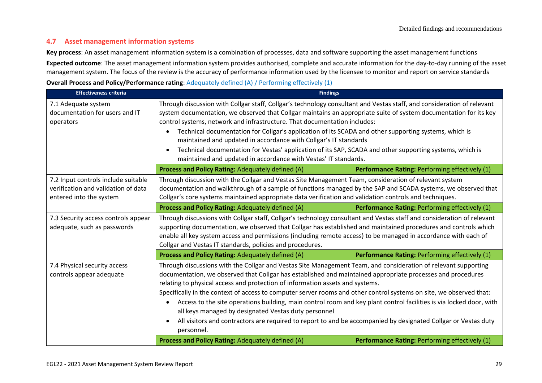# **4.7 Asset management information systems**

**Key process**: An asset management information system is a combination of processes, data and software supporting the asset management functions **Expected outcome**: The asset management information system provides authorised, complete and accurate information for the day-to-day running of the asset management system. The focus of the review is the accuracy of performance information used by the licensee to monitor and report on service standards

### **Overall Process and Policy/Performance rating**: Adequately defined (A) / Performing effectively (1)

| <b>Effectiveness criteria</b>                                                                         | <b>Findings</b>                                                                                                                                                                                                                                                                                                                                                                                                                                                                                                                                                                                                                                                                                                                                      |                                                |
|-------------------------------------------------------------------------------------------------------|------------------------------------------------------------------------------------------------------------------------------------------------------------------------------------------------------------------------------------------------------------------------------------------------------------------------------------------------------------------------------------------------------------------------------------------------------------------------------------------------------------------------------------------------------------------------------------------------------------------------------------------------------------------------------------------------------------------------------------------------------|------------------------------------------------|
| 7.1 Adequate system<br>documentation for users and IT<br>operators                                    | Through discussion with Collgar staff, Collgar's technology consultant and Vestas staff, and consideration of relevant<br>system documentation, we observed that Collgar maintains an appropriate suite of system documentation for its key<br>control systems, network and infrastructure. That documentation includes:<br>Technical documentation for Collgar's application of its SCADA and other supporting systems, which is<br>maintained and updated in accordance with Collgar's IT standards<br>Technical documentation for Vestas' application of its SAP, SCADA and other supporting systems, which is<br>maintained and updated in accordance with Vestas' IT standards.                                                                 |                                                |
|                                                                                                       | Process and Policy Rating: Adequately defined (A)                                                                                                                                                                                                                                                                                                                                                                                                                                                                                                                                                                                                                                                                                                    | Performance Rating: Performing effectively (1) |
| 7.2 Input controls include suitable<br>verification and validation of data<br>entered into the system | Through discussion with the Collgar and Vestas Site Management Team, consideration of relevant system<br>documentation and walkthrough of a sample of functions managed by the SAP and SCADA systems, we observed that<br>Collgar's core systems maintained appropriate data verification and validation controls and techniques.                                                                                                                                                                                                                                                                                                                                                                                                                    |                                                |
|                                                                                                       | Process and Policy Rating: Adequately defined (A)                                                                                                                                                                                                                                                                                                                                                                                                                                                                                                                                                                                                                                                                                                    | Performance Rating: Performing effectively (1) |
| 7.3 Security access controls appear<br>adequate, such as passwords                                    | Through discussions with Collgar staff, Collgar's technology consultant and Vestas staff and consideration of relevant<br>supporting documentation, we observed that Collgar has established and maintained procedures and controls which<br>enable all key system access and permissions (including remote access) to be managed in accordance with each of<br>Collgar and Vestas IT standards, policies and procedures.                                                                                                                                                                                                                                                                                                                            |                                                |
|                                                                                                       | Process and Policy Rating: Adequately defined (A)                                                                                                                                                                                                                                                                                                                                                                                                                                                                                                                                                                                                                                                                                                    | Performance Rating: Performing effectively (1) |
| 7.4 Physical security access<br>controls appear adequate                                              | Through discussions with the Collgar and Vestas Site Management Team, and consideration of relevant supporting<br>documentation, we observed that Collgar has established and maintained appropriate processes and procedures<br>relating to physical access and protection of information assets and systems.<br>Specifically in the context of access to computer server rooms and other control systems on site, we observed that:<br>Access to the site operations building, main control room and key plant control facilities is via locked door, with<br>all keys managed by designated Vestas duty personnel<br>All visitors and contractors are required to report to and be accompanied by designated Collgar or Vestas duty<br>personnel. |                                                |
|                                                                                                       | Process and Policy Rating: Adequately defined (A)                                                                                                                                                                                                                                                                                                                                                                                                                                                                                                                                                                                                                                                                                                    | Performance Rating: Performing effectively (1) |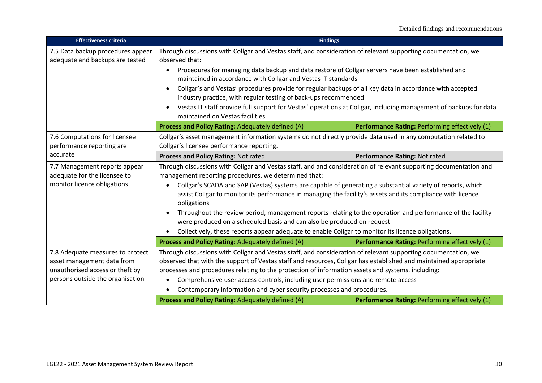| <b>Effectiveness criteria</b>                                                                                                                                                        | <b>Findings</b>                                                                                                                                                                                                                                                                                                                                                                                                            |                                                |
|--------------------------------------------------------------------------------------------------------------------------------------------------------------------------------------|----------------------------------------------------------------------------------------------------------------------------------------------------------------------------------------------------------------------------------------------------------------------------------------------------------------------------------------------------------------------------------------------------------------------------|------------------------------------------------|
| 7.5 Data backup procedures appear<br>adequate and backups are tested                                                                                                                 | Through discussions with Collgar and Vestas staff, and consideration of relevant supporting documentation, we<br>observed that:                                                                                                                                                                                                                                                                                            |                                                |
|                                                                                                                                                                                      | Procedures for managing data backup and data restore of Collgar servers have been established and<br>$\bullet$<br>maintained in accordance with Collgar and Vestas IT standards                                                                                                                                                                                                                                            |                                                |
|                                                                                                                                                                                      | Collgar's and Vestas' procedures provide for regular backups of all key data in accordance with accepted<br>industry practice, with regular testing of back-ups recommended                                                                                                                                                                                                                                                |                                                |
|                                                                                                                                                                                      | Vestas IT staff provide full support for Vestas' operations at Collgar, including management of backups for data<br>maintained on Vestas facilities.                                                                                                                                                                                                                                                                       |                                                |
|                                                                                                                                                                                      | Process and Policy Rating: Adequately defined (A)                                                                                                                                                                                                                                                                                                                                                                          | Performance Rating: Performing effectively (1) |
| 7.6 Computations for licensee<br>performance reporting are                                                                                                                           | Collgar's asset management information systems do not directly provide data used in any computation related to<br>Collgar's licensee performance reporting.                                                                                                                                                                                                                                                                |                                                |
| accurate                                                                                                                                                                             | Process and Policy Rating: Not rated                                                                                                                                                                                                                                                                                                                                                                                       | Performance Rating: Not rated                  |
| 7.7 Management reports appear<br>adequate for the licensee to                                                                                                                        | Through discussions with Collgar and Vestas staff, and and consideration of relevant supporting documentation and<br>management reporting procedures, we determined that:                                                                                                                                                                                                                                                  |                                                |
| monitor licence obligations                                                                                                                                                          | Collgar's SCADA and SAP (Vestas) systems are capable of generating a substantial variety of reports, which                                                                                                                                                                                                                                                                                                                 |                                                |
|                                                                                                                                                                                      | assist Collgar to monitor its performance in managing the facility's assets and its compliance with licence<br>obligations                                                                                                                                                                                                                                                                                                 |                                                |
| Throughout the review period, management reports relating to the operation and performance of the facility<br>were produced on a scheduled basis and can also be produced on request |                                                                                                                                                                                                                                                                                                                                                                                                                            |                                                |
|                                                                                                                                                                                      | Collectively, these reports appear adequate to enable Collgar to monitor its licence obligations.                                                                                                                                                                                                                                                                                                                          |                                                |
|                                                                                                                                                                                      | Process and Policy Rating: Adequately defined (A)                                                                                                                                                                                                                                                                                                                                                                          | Performance Rating: Performing effectively (1) |
| 7.8 Adequate measures to protect<br>asset management data from<br>unauthorised access or theft by                                                                                    | Through discussions with Collgar and Vestas staff, and consideration of relevant supporting documentation, we<br>observed that with the support of Vestas staff and resources, Collgar has established and maintained appropriate<br>processes and procedures relating to the protection of information assets and systems, including:<br>Comprehensive user access controls, including user permissions and remote access |                                                |
| persons outside the organisation                                                                                                                                                     |                                                                                                                                                                                                                                                                                                                                                                                                                            |                                                |
|                                                                                                                                                                                      | Contemporary information and cyber security processes and procedures.                                                                                                                                                                                                                                                                                                                                                      |                                                |
|                                                                                                                                                                                      | Process and Policy Rating: Adequately defined (A)                                                                                                                                                                                                                                                                                                                                                                          | Performance Rating: Performing effectively (1) |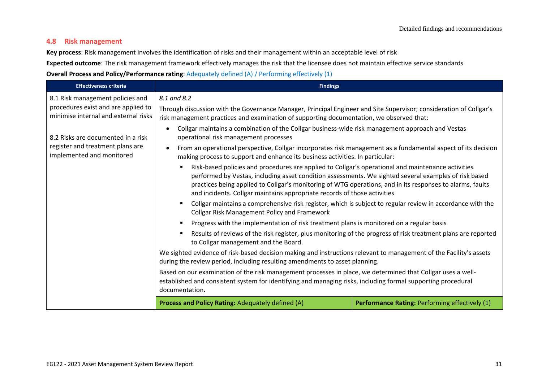# **4.8 Risk management**

**Key process**: Risk management involves the identification of risks and their management within an acceptable level of risk

**Expected outcome**: The risk management framework effectively manages the risk that the licensee does not maintain effective service standards **Overall Process and Policy/Performance rating**: Adequately defined (A) / Performing effectively (1)

| <b>Effectiveness criteria</b>                                               | <b>Findings</b>                                                                                                                                                                                                                                                                                                                                                                                      |                                                |
|-----------------------------------------------------------------------------|------------------------------------------------------------------------------------------------------------------------------------------------------------------------------------------------------------------------------------------------------------------------------------------------------------------------------------------------------------------------------------------------------|------------------------------------------------|
| 8.1 Risk management policies and                                            | 8.1 and 8.2                                                                                                                                                                                                                                                                                                                                                                                          |                                                |
| procedures exist and are applied to<br>minimise internal and external risks | Through discussion with the Governance Manager, Principal Engineer and Site Supervisor; consideration of Collgar's<br>risk management practices and examination of supporting documentation, we observed that:                                                                                                                                                                                       |                                                |
| 8.2 Risks are documented in a risk                                          | Collgar maintains a combination of the Collgar business-wide risk management approach and Vestas<br>operational risk management processes                                                                                                                                                                                                                                                            |                                                |
| register and treatment plans are<br>implemented and monitored               | From an operational perspective, Collgar incorporates risk management as a fundamental aspect of its decision<br>making process to support and enhance its business activities. In particular:                                                                                                                                                                                                       |                                                |
|                                                                             | Risk-based policies and procedures are applied to Collgar's operational and maintenance activities<br>performed by Vestas, including asset condition assessments. We sighted several examples of risk based<br>practices being applied to Collgar's monitoring of WTG operations, and in its responses to alarms, faults<br>and incidents. Collgar maintains appropriate records of those activities |                                                |
|                                                                             | Collgar maintains a comprehensive risk register, which is subject to regular review in accordance with the<br><b>Collgar Risk Management Policy and Framework</b>                                                                                                                                                                                                                                    |                                                |
|                                                                             | Progress with the implementation of risk treatment plans is monitored on a regular basis                                                                                                                                                                                                                                                                                                             |                                                |
|                                                                             | Results of reviews of the risk register, plus monitoring of the progress of risk treatment plans are reported<br>to Collgar management and the Board.                                                                                                                                                                                                                                                |                                                |
|                                                                             | We sighted evidence of risk-based decision making and instructions relevant to management of the Facility's assets<br>during the review period, including resulting amendments to asset planning.                                                                                                                                                                                                    |                                                |
|                                                                             | Based on our examination of the risk management processes in place, we determined that Collgar uses a well-<br>established and consistent system for identifying and managing risks, including formal supporting procedural<br>documentation.                                                                                                                                                        |                                                |
|                                                                             | Process and Policy Rating: Adequately defined (A)                                                                                                                                                                                                                                                                                                                                                    | Performance Rating: Performing effectively (1) |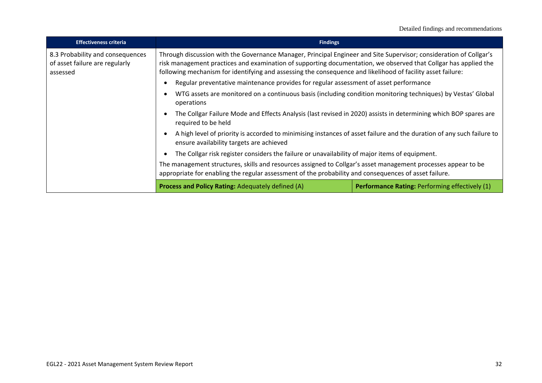| <b>Effectiveness criteria</b>                                                  | <b>Findings</b>                                                                                                                                                                                                                                                                                                                                      |                                                |
|--------------------------------------------------------------------------------|------------------------------------------------------------------------------------------------------------------------------------------------------------------------------------------------------------------------------------------------------------------------------------------------------------------------------------------------------|------------------------------------------------|
| 8.3 Probability and consequences<br>of asset failure are regularly<br>assessed | Through discussion with the Governance Manager, Principal Engineer and Site Supervisor; consideration of Collgar's<br>risk management practices and examination of supporting documentation, we observed that Collgar has applied the<br>following mechanism for identifying and assessing the consequence and likelihood of facility asset failure: |                                                |
|                                                                                | Regular preventative maintenance provides for regular assessment of asset performance                                                                                                                                                                                                                                                                |                                                |
|                                                                                | WTG assets are monitored on a continuous basis (including condition monitoring techniques) by Vestas' Global<br>operations                                                                                                                                                                                                                           |                                                |
|                                                                                | The Collgar Failure Mode and Effects Analysis (last revised in 2020) assists in determining which BOP spares are<br>required to be held                                                                                                                                                                                                              |                                                |
|                                                                                | A high level of priority is accorded to minimising instances of asset failure and the duration of any such failure to<br>ensure availability targets are achieved                                                                                                                                                                                    |                                                |
|                                                                                | The Collgar risk register considers the failure or unavailability of major items of equipment.                                                                                                                                                                                                                                                       |                                                |
|                                                                                | The management structures, skills and resources assigned to Collgar's asset management processes appear to be<br>appropriate for enabling the regular assessment of the probability and consequences of asset failure.                                                                                                                               |                                                |
|                                                                                | <b>Process and Policy Rating: Adequately defined (A)</b>                                                                                                                                                                                                                                                                                             | Performance Rating: Performing effectively (1) |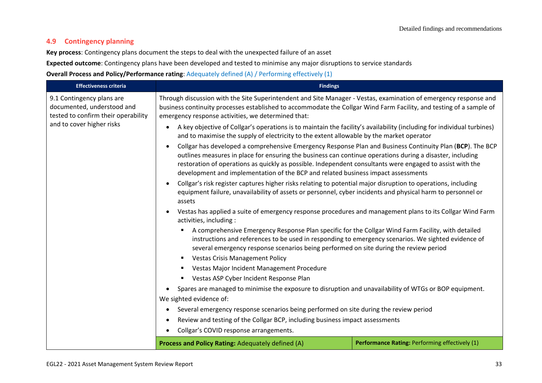# **4.9 Contingency planning**

**Key process**: Contingency plans document the steps to deal with the unexpected failure of an asset

**Expected outcome**: Contingency plans have been developed and tested to minimise any major disruptions to service standards

**Overall Process and Policy/Performance rating**: Adequately defined (A) / Performing effectively (1)

| <b>Effectiveness criteria</b>                                                                  | <b>Findings</b>                                                                                                                                                                                                                                                                                                                                                                                                          |                                                |
|------------------------------------------------------------------------------------------------|--------------------------------------------------------------------------------------------------------------------------------------------------------------------------------------------------------------------------------------------------------------------------------------------------------------------------------------------------------------------------------------------------------------------------|------------------------------------------------|
| 9.1 Contingency plans are<br>documented, understood and<br>tested to confirm their operability | Through discussion with the Site Superintendent and Site Manager - Vestas, examination of emergency response and<br>business continuity processes established to accommodate the Collgar Wind Farm Facility, and testing of a sample of<br>emergency response activities, we determined that:                                                                                                                            |                                                |
| and to cover higher risks                                                                      | A key objective of Collgar's operations is to maintain the facility's availability (including for individual turbines)<br>and to maximise the supply of electricity to the extent allowable by the market operator                                                                                                                                                                                                       |                                                |
|                                                                                                | Collgar has developed a comprehensive Emergency Response Plan and Business Continuity Plan (BCP). The BCP<br>outlines measures in place for ensuring the business can continue operations during a disaster, including<br>restoration of operations as quickly as possible. Independent consultants were engaged to assist with the<br>development and implementation of the BCP and related business impact assessments |                                                |
|                                                                                                | Collgar's risk register captures higher risks relating to potential major disruption to operations, including<br>equipment failure, unavailability of assets or personnel, cyber incidents and physical harm to personnel or<br>assets                                                                                                                                                                                   |                                                |
|                                                                                                | Vestas has applied a suite of emergency response procedures and management plans to its Collgar Wind Farm<br>activities, including :                                                                                                                                                                                                                                                                                     |                                                |
|                                                                                                | A comprehensive Emergency Response Plan specific for the Collgar Wind Farm Facility, with detailed<br>$\blacksquare$<br>instructions and references to be used in responding to emergency scenarios. We sighted evidence of<br>several emergency response scenarios being performed on site during the review period                                                                                                     |                                                |
|                                                                                                | <b>Vestas Crisis Management Policy</b><br>٠                                                                                                                                                                                                                                                                                                                                                                              |                                                |
|                                                                                                | Vestas Major Incident Management Procedure                                                                                                                                                                                                                                                                                                                                                                               |                                                |
|                                                                                                | Vestas ASP Cyber Incident Response Plan                                                                                                                                                                                                                                                                                                                                                                                  |                                                |
|                                                                                                | Spares are managed to minimise the exposure to disruption and unavailability of WTGs or BOP equipment.                                                                                                                                                                                                                                                                                                                   |                                                |
|                                                                                                | We sighted evidence of:                                                                                                                                                                                                                                                                                                                                                                                                  |                                                |
|                                                                                                | Several emergency response scenarios being performed on site during the review period<br>$\bullet$                                                                                                                                                                                                                                                                                                                       |                                                |
|                                                                                                | Review and testing of the Collgar BCP, including business impact assessments                                                                                                                                                                                                                                                                                                                                             |                                                |
|                                                                                                | Collgar's COVID response arrangements.                                                                                                                                                                                                                                                                                                                                                                                   |                                                |
|                                                                                                | Process and Policy Rating: Adequately defined (A)                                                                                                                                                                                                                                                                                                                                                                        | Performance Rating: Performing effectively (1) |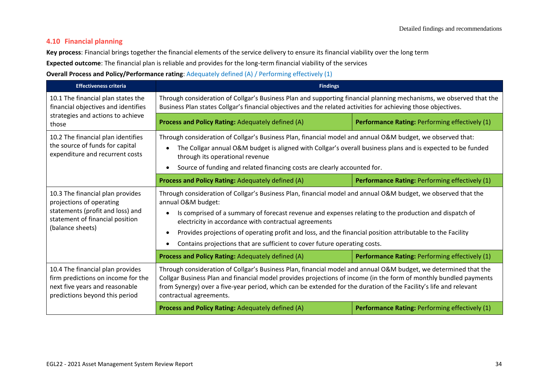# **4.10 Financial planning**

**Key process**: Financial brings together the financial elements of the service delivery to ensure its financial viability over the long term

**Expected outcome**: The financial plan is reliable and provides for the long-term financial viability of the services

**Overall Process and Policy/Performance rating**: Adequately defined (A) / Performing effectively (1)

| <b>Effectiveness criteria</b>                                                                                                                                                                                                                                                                                                                                                                                                                                                                                                      | <b>Findings</b>                                                                                                                                                                                                                                                                                                                                                                                                                                                                                  |                                                       |
|------------------------------------------------------------------------------------------------------------------------------------------------------------------------------------------------------------------------------------------------------------------------------------------------------------------------------------------------------------------------------------------------------------------------------------------------------------------------------------------------------------------------------------|--------------------------------------------------------------------------------------------------------------------------------------------------------------------------------------------------------------------------------------------------------------------------------------------------------------------------------------------------------------------------------------------------------------------------------------------------------------------------------------------------|-------------------------------------------------------|
| 10.1 The financial plan states the<br>financial objectives and identifies                                                                                                                                                                                                                                                                                                                                                                                                                                                          | Through consideration of Collgar's Business Plan and supporting financial planning mechanisms, we observed that the<br>Business Plan states Collgar's financial objectives and the related activities for achieving those objectives.                                                                                                                                                                                                                                                            |                                                       |
| strategies and actions to achieve<br>those                                                                                                                                                                                                                                                                                                                                                                                                                                                                                         | Process and Policy Rating: Adequately defined (A)                                                                                                                                                                                                                                                                                                                                                                                                                                                | <b>Performance Rating: Performing effectively (1)</b> |
| 10.2 The financial plan identifies<br>the source of funds for capital<br>expenditure and recurrent costs                                                                                                                                                                                                                                                                                                                                                                                                                           | Through consideration of Collgar's Business Plan, financial model and annual O&M budget, we observed that:<br>The Collgar annual O&M budget is aligned with Collgar's overall business plans and is expected to be funded<br>through its operational revenue<br>Source of funding and related financing costs are clearly accounted for.                                                                                                                                                         |                                                       |
|                                                                                                                                                                                                                                                                                                                                                                                                                                                                                                                                    | Process and Policy Rating: Adequately defined (A)                                                                                                                                                                                                                                                                                                                                                                                                                                                | Performance Rating: Performing effectively (1)        |
| 10.3 The financial plan provides<br>projections of operating<br>statements (profit and loss) and<br>statement of financial position<br>(balance sheets)                                                                                                                                                                                                                                                                                                                                                                            | Through consideration of Collgar's Business Plan, financial model and annual O&M budget, we observed that the<br>annual O&M budget:<br>Is comprised of a summary of forecast revenue and expenses relating to the production and dispatch of<br>electricity in accordance with contractual agreements<br>Provides projections of operating profit and loss, and the financial position attributable to the Facility<br>Contains projections that are sufficient to cover future operating costs. |                                                       |
|                                                                                                                                                                                                                                                                                                                                                                                                                                                                                                                                    | Process and Policy Rating: Adequately defined (A)                                                                                                                                                                                                                                                                                                                                                                                                                                                | Performance Rating: Performing effectively (1)        |
| Through consideration of Collgar's Business Plan, financial model and annual O&M budget, we determined that the<br>10.4 The financial plan provides<br>Collgar Business Plan and financial model provides projections of income (in the form of monthly bundled payments<br>firm predictions on income for the<br>next five years and reasonable<br>from Synergy) over a five-year period, which can be extended for the duration of the Facility's life and relevant<br>predictions beyond this period<br>contractual agreements. |                                                                                                                                                                                                                                                                                                                                                                                                                                                                                                  |                                                       |
|                                                                                                                                                                                                                                                                                                                                                                                                                                                                                                                                    | Process and Policy Rating: Adequately defined (A)                                                                                                                                                                                                                                                                                                                                                                                                                                                | Performance Rating: Performing effectively (1)        |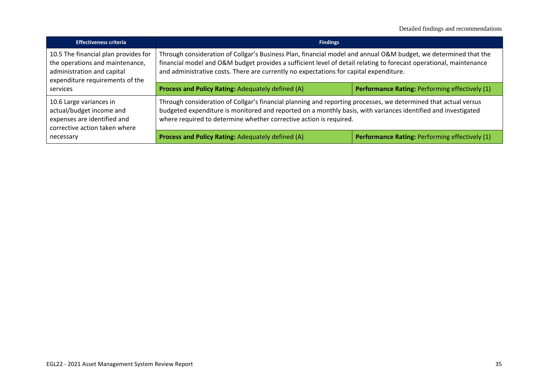| <b>Effectiveness criteria</b>                                                                                                            | <b>Findings</b>                                                                                                                                                                                                                                                                                                                 |                                                |
|------------------------------------------------------------------------------------------------------------------------------------------|---------------------------------------------------------------------------------------------------------------------------------------------------------------------------------------------------------------------------------------------------------------------------------------------------------------------------------|------------------------------------------------|
| 10.5 The financial plan provides for<br>the operations and maintenance,<br>administration and capital<br>expenditure requirements of the | Through consideration of Collgar's Business Plan, financial model and annual O&M budget, we determined that the<br>financial model and O&M budget provides a sufficient level of detail relating to forecast operational, maintenance<br>and administrative costs. There are currently no expectations for capital expenditure. |                                                |
| services                                                                                                                                 | Process and Policy Rating: Adequately defined (A)                                                                                                                                                                                                                                                                               | Performance Rating: Performing effectively (1) |
| 10.6 Large variances in<br>actual/budget income and<br>expenses are identified and<br>corrective action taken where                      | Through consideration of Collgar's financial planning and reporting processes, we determined that actual versus<br>budgeted expenditure is monitored and reported on a monthly basis, with variances identified and investigated<br>where required to determine whether corrective action is required.                          |                                                |
| necessary                                                                                                                                | Process and Policy Rating: Adequately defined (A)                                                                                                                                                                                                                                                                               | Performance Rating: Performing effectively (1) |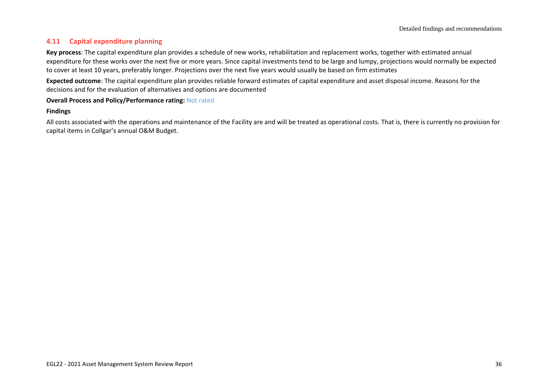# **4.11 Capital expenditure planning**

**Key process**: The capital expenditure plan provides a schedule of new works, rehabilitation and replacement works, together with estimated annual expenditure for these works over the next five or more years. Since capital investments tend to be large and lumpy, projections would normally be expected to cover at least 10 years, preferably longer. Projections over the next five years would usually be based on firm estimates

**Expected outcome**: The capital expenditure plan provides reliable forward estimates of capital expenditure and asset disposal income. Reasons for the decisions and for the evaluation of alternatives and options are documented

### **Overall Process and Policy/Performance rating:** Not rated

### **Findings**

All costs associated with the operations and maintenance of the Facility are and will be treated as operational costs. That is, there is currently no provision for capital items in Collgar's annual O&M Budget.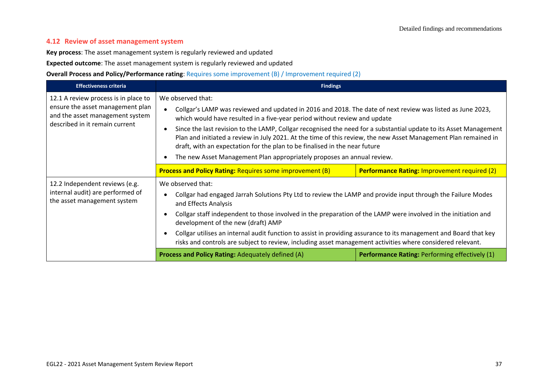## **4.12 Review of asset management system**

**Key process**: The asset management system is regularly reviewed and updated

**Expected outcome**: The asset management system is regularly reviewed and updated

**Overall Process and Policy/Performance rating**: Requires some improvement (B) / Improvement required (2)

| <b>Effectiveness criteria</b>                                                                                                                 | <b>Findings</b>                                                                                                                                                                                                                                                                                                                                                                                                                                                                                                                                                                                                                                     |                                                       |
|-----------------------------------------------------------------------------------------------------------------------------------------------|-----------------------------------------------------------------------------------------------------------------------------------------------------------------------------------------------------------------------------------------------------------------------------------------------------------------------------------------------------------------------------------------------------------------------------------------------------------------------------------------------------------------------------------------------------------------------------------------------------------------------------------------------------|-------------------------------------------------------|
| 12.1 A review process is in place to<br>ensure the asset management plan<br>and the asset management system<br>described in it remain current | We observed that:<br>Collgar's LAMP was reviewed and updated in 2016 and 2018. The date of next review was listed as June 2023,<br>$\bullet$<br>which would have resulted in a five-year period without review and update<br>Since the last revision to the LAMP, Collgar recognised the need for a substantial update to its Asset Management<br>$\bullet$<br>Plan and initiated a review in July 2021. At the time of this review, the new Asset Management Plan remained in<br>draft, with an expectation for the plan to be finalised in the near future<br>The new Asset Management Plan appropriately proposes an annual review.<br>$\bullet$ |                                                       |
|                                                                                                                                               | <b>Process and Policy Rating: Requires some improvement (B)</b>                                                                                                                                                                                                                                                                                                                                                                                                                                                                                                                                                                                     | <b>Performance Rating: Improvement required (2)</b>   |
| 12.2 Independent reviews (e.g.<br>internal audit) are performed of<br>the asset management system                                             | We observed that:<br>Collgar had engaged Jarrah Solutions Pty Ltd to review the LAMP and provide input through the Failure Modes<br>$\bullet$<br>and Effects Analysis<br>Collgar staff independent to those involved in the preparation of the LAMP were involved in the initiation and<br>development of the new (draft) AMP<br>Collgar utilises an internal audit function to assist in providing assurance to its management and Board that key<br>risks and controls are subject to review, including asset management activities where considered relevant.                                                                                    |                                                       |
|                                                                                                                                               | <b>Process and Policy Rating: Adequately defined (A)</b>                                                                                                                                                                                                                                                                                                                                                                                                                                                                                                                                                                                            | <b>Performance Rating: Performing effectively (1)</b> |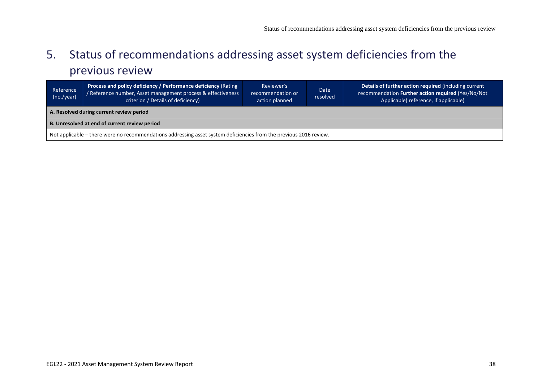# 5. Status of recommendations addressing asset system deficiencies from the previous review

<span id="page-37-0"></span>

| Reference<br>(no./year)                                                                                            | Process and policy deficiency / Performance deficiency (Rating<br>Reference number, Asset management process & effectiveness<br>criterion / Details of deficiency) | Reviewer's<br>recommendation or<br>action planned | Date<br>resolved | Details of further action required (including current<br>recommendation Further action required (Yes/No/Not<br>Applicable) reference, if applicable) |
|--------------------------------------------------------------------------------------------------------------------|--------------------------------------------------------------------------------------------------------------------------------------------------------------------|---------------------------------------------------|------------------|------------------------------------------------------------------------------------------------------------------------------------------------------|
| A. Resolved during current review period                                                                           |                                                                                                                                                                    |                                                   |                  |                                                                                                                                                      |
| B. Unresolved at end of current review period                                                                      |                                                                                                                                                                    |                                                   |                  |                                                                                                                                                      |
| Not applicable – there were no recommendations addressing asset system deficiencies from the previous 2016 review. |                                                                                                                                                                    |                                                   |                  |                                                                                                                                                      |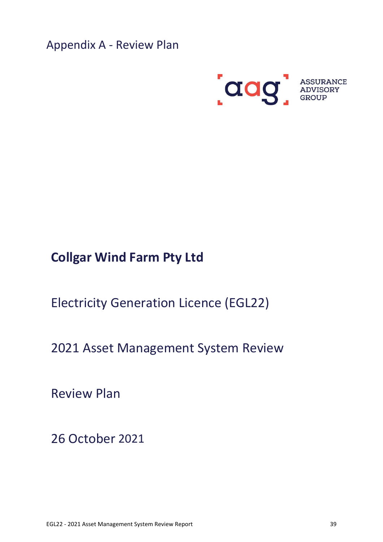<span id="page-38-0"></span>Appendix A - Review Plan



# **Collgar Wind Farm Pty Ltd**

Electricity Generation Licence (EGL22)

2021 Asset Management System Review

Review Plan

26 October 2021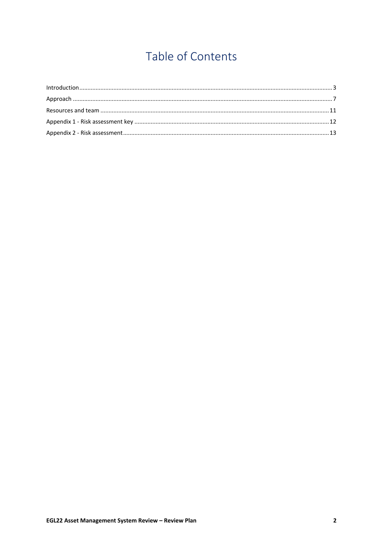# Table of Contents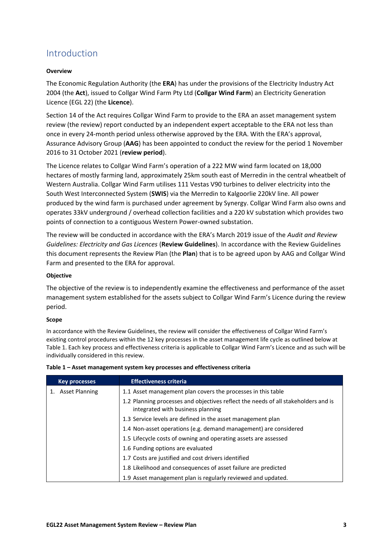# <span id="page-40-0"></span>Introduction

### **Overview**

The Economic Regulation Authority (the **ERA**) has under the provisions of the Electricity Industry Act 2004 (the **Act**), issued to Collgar Wind Farm Pty Ltd (**Collgar Wind Farm**) an Electricity Generation Licence (EGL 22) (the **Licence**).

Section 14 of the Act requires Collgar Wind Farm to provide to the ERA an asset management system review (the review) report conducted by an independent expert acceptable to the ERA not less than once in every 24-month period unless otherwise approved by the ERA. With the ERA's approval, Assurance Advisory Group (**AAG**) has been appointed to conduct the review for the period 1 November 2016 to 31 October 2021 (**review period**).

The Licence relates to Collgar Wind Farm's operation of a 222 MW wind farm located on 18,000 hectares of mostly farming land, approximately 25km south east of Merredin in the central wheatbelt of Western Australia. Collgar Wind Farm utilises 111 Vestas V90 turbines to deliver electricity into the South West Interconnected System (**SWIS**) via the Merredin to Kalgoorlie 220kV line. All power produced by the wind farm is purchased under agreement by Synergy. Collgar Wind Farm also owns and operates 33kV underground / overhead collection facilities and a 220 kV substation which provides two points of connection to a contiguous Western Power-owned substation.

The review will be conducted in accordance with the ERA's March 2019 issue of the *Audit and Review Guidelines: Electricity and Gas Licences* (**Review Guidelines**). In accordance with the Review Guidelines this document represents the Review Plan (the **Plan**) that is to be agreed upon by AAG and Collgar Wind Farm and presented to the ERA for approval.

### **Objective**

The objective of the review is to independently examine the effectiveness and performance of the asset management system established for the assets subject to Collgar Wind Farm's Licence during the review period.

### **Scope**

In accordance with the Review Guidelines, the review will consider the effectiveness of Collgar Wind Farm's existing control procedures within the 12 key processes in the asset management life cycle as outlined below at Table 1. Each key process and effectiveness criteria is applicable to Collgar Wind Farm's Licence and as such will be individually considered in this review.

| <b>Key processes</b>  | <b>Effectiveness criteria</b>                                                                                           |
|-----------------------|-------------------------------------------------------------------------------------------------------------------------|
| <b>Asset Planning</b> | 1.1 Asset management plan covers the processes in this table                                                            |
|                       | 1.2 Planning processes and objectives reflect the needs of all stakeholders and is<br>integrated with business planning |
|                       | 1.3 Service levels are defined in the asset management plan                                                             |
|                       | 1.4 Non-asset operations (e.g. demand management) are considered                                                        |
|                       | 1.5 Lifecycle costs of owning and operating assets are assessed                                                         |
|                       | 1.6 Funding options are evaluated                                                                                       |
|                       | 1.7 Costs are justified and cost drivers identified                                                                     |
|                       | 1.8 Likelihood and consequences of asset failure are predicted                                                          |
|                       | 1.9 Asset management plan is regularly reviewed and updated.                                                            |

#### **Table 1 – Asset management system key processes and effectiveness criteria**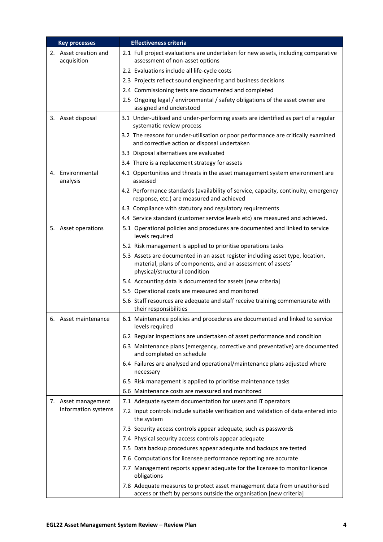| <b>Key processes</b>                 | <b>Effectiveness criteria</b>                                                                                                                                                  |
|--------------------------------------|--------------------------------------------------------------------------------------------------------------------------------------------------------------------------------|
| 2. Asset creation and<br>acquisition | 2.1 Full project evaluations are undertaken for new assets, including comparative<br>assessment of non-asset options                                                           |
|                                      | 2.2 Evaluations include all life-cycle costs                                                                                                                                   |
|                                      | 2.3 Projects reflect sound engineering and business decisions                                                                                                                  |
|                                      | 2.4 Commissioning tests are documented and completed                                                                                                                           |
|                                      | 2.5 Ongoing legal / environmental / safety obligations of the asset owner are<br>assigned and understood                                                                       |
| 3. Asset disposal                    | 3.1 Under-utilised and under-performing assets are identified as part of a regular<br>systematic review process                                                                |
|                                      | 3.2 The reasons for under-utilisation or poor performance are critically examined<br>and corrective action or disposal undertaken                                              |
|                                      | 3.3 Disposal alternatives are evaluated                                                                                                                                        |
|                                      | 3.4 There is a replacement strategy for assets                                                                                                                                 |
| 4. Environmental<br>analysis         | 4.1 Opportunities and threats in the asset management system environment are<br>assessed                                                                                       |
|                                      | 4.2 Performance standards (availability of service, capacity, continuity, emergency<br>response, etc.) are measured and achieved                                               |
|                                      | 4.3 Compliance with statutory and regulatory requirements                                                                                                                      |
|                                      | 4.4 Service standard (customer service levels etc) are measured and achieved.                                                                                                  |
| 5. Asset operations                  | 5.1 Operational policies and procedures are documented and linked to service<br>levels required                                                                                |
|                                      | 5.2 Risk management is applied to prioritise operations tasks                                                                                                                  |
|                                      | 5.3 Assets are documented in an asset register including asset type, location,<br>material, plans of components, and an assessment of assets'<br>physical/structural condition |
|                                      | 5.4 Accounting data is documented for assets [new criteria]                                                                                                                    |
|                                      | 5.5 Operational costs are measured and monitored                                                                                                                               |
|                                      | 5.6 Staff resources are adequate and staff receive training commensurate with<br>their responsibilities                                                                        |
| 6. Asset maintenance                 | 6.1 Maintenance policies and procedures are documented and linked to service<br>levels required                                                                                |
|                                      | 6.2 Regular inspections are undertaken of asset performance and condition                                                                                                      |
|                                      | 6.3 Maintenance plans (emergency, corrective and preventative) are documented<br>and completed on schedule                                                                     |
|                                      | 6.4 Failures are analysed and operational/maintenance plans adjusted where<br>necessary                                                                                        |
|                                      | 6.5 Risk management is applied to prioritise maintenance tasks                                                                                                                 |
|                                      | 6.6 Maintenance costs are measured and monitored                                                                                                                               |
| 7. Asset management                  | 7.1 Adequate system documentation for users and IT operators                                                                                                                   |
| information systems                  | 7.2 Input controls include suitable verification and validation of data entered into<br>the system                                                                             |
|                                      | 7.3 Security access controls appear adequate, such as passwords                                                                                                                |
|                                      | 7.4 Physical security access controls appear adequate                                                                                                                          |
|                                      | 7.5 Data backup procedures appear adequate and backups are tested                                                                                                              |
|                                      | 7.6 Computations for licensee performance reporting are accurate                                                                                                               |
|                                      | 7.7 Management reports appear adequate for the licensee to monitor licence<br>obligations                                                                                      |
|                                      | 7.8 Adequate measures to protect asset management data from unauthorised<br>access or theft by persons outside the organisation [new criteria]                                 |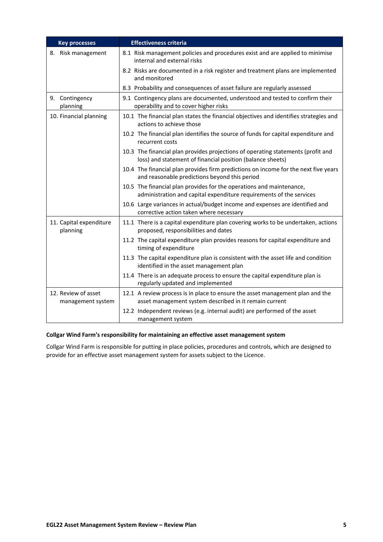| <b>Key processes</b>                     | <b>Effectiveness criteria</b>                                                                                                                  |
|------------------------------------------|------------------------------------------------------------------------------------------------------------------------------------------------|
| 8. Risk management                       | 8.1 Risk management policies and procedures exist and are applied to minimise<br>internal and external risks                                   |
|                                          | 8.2 Risks are documented in a risk register and treatment plans are implemented<br>and monitored                                               |
|                                          | 8.3 Probability and consequences of asset failure are regularly assessed                                                                       |
| 9. Contingency<br>planning               | 9.1 Contingency plans are documented, understood and tested to confirm their<br>operability and to cover higher risks                          |
| 10. Financial planning                   | 10.1 The financial plan states the financial objectives and identifies strategies and<br>actions to achieve those                              |
|                                          | 10.2 The financial plan identifies the source of funds for capital expenditure and<br>recurrent costs                                          |
|                                          | 10.3 The financial plan provides projections of operating statements (profit and<br>loss) and statement of financial position (balance sheets) |
|                                          | 10.4 The financial plan provides firm predictions on income for the next five years<br>and reasonable predictions beyond this period           |
|                                          | 10.5 The financial plan provides for the operations and maintenance,<br>administration and capital expenditure requirements of the services    |
|                                          | 10.6 Large variances in actual/budget income and expenses are identified and<br>corrective action taken where necessary                        |
| 11. Capital expenditure<br>planning      | 11.1 There is a capital expenditure plan covering works to be undertaken, actions<br>proposed, responsibilities and dates                      |
|                                          | 11.2 The capital expenditure plan provides reasons for capital expenditure and<br>timing of expenditure                                        |
|                                          | 11.3 The capital expenditure plan is consistent with the asset life and condition<br>identified in the asset management plan                   |
|                                          | 11.4 There is an adequate process to ensure the capital expenditure plan is<br>regularly updated and implemented                               |
| 12. Review of asset<br>management system | 12.1 A review process is in place to ensure the asset management plan and the<br>asset management system described in it remain current        |
|                                          | 12.2 Independent reviews (e.g. internal audit) are performed of the asset<br>management system                                                 |

### **Collgar Wind Farm's responsibility for maintaining an effective asset management system**

Collgar Wind Farm is responsible for putting in place policies, procedures and controls, which are designed to provide for an effective asset management system for assets subject to the Licence.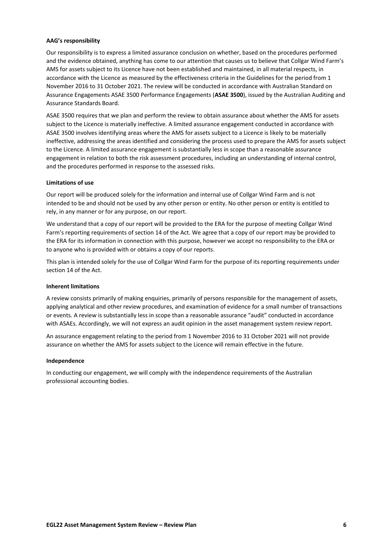#### **AAG's responsibility**

Our responsibility is to express a limited assurance conclusion on whether, based on the procedures performed and the evidence obtained, anything has come to our attention that causes us to believe that Collgar Wind Farm's AMS for assets subject to its Licence have not been established and maintained, in all material respects, in accordance with the Licence as measured by the effectiveness criteria in the Guidelines for the period from 1 November 2016 to 31 October 2021. The review will be conducted in accordance with Australian Standard on Assurance Engagements ASAE 3500 Performance Engagements (**ASAE 3500**), issued by the Australian Auditing and Assurance Standards Board.

ASAE 3500 requires that we plan and perform the review to obtain assurance about whether the AMS for assets subject to the Licence is materially ineffective. A limited assurance engagement conducted in accordance with ASAE 3500 involves identifying areas where the AMS for assets subject to a Licence is likely to be materially ineffective, addressing the areas identified and considering the process used to prepare the AMS for assets subject to the Licence. A limited assurance engagement is substantially less in scope than a reasonable assurance engagement in relation to both the risk assessment procedures, including an understanding of internal control, and the procedures performed in response to the assessed risks.

#### **Limitations of use**

Our report will be produced solely for the information and internal use of Collgar Wind Farm and is not intended to be and should not be used by any other person or entity. No other person or entity is entitled to rely, in any manner or for any purpose, on our report.

We understand that a copy of our report will be provided to the ERA for the purpose of meeting Collgar Wind Farm's reporting requirements of section 14 of the Act. We agree that a copy of our report may be provided to the ERA for its information in connection with this purpose, however we accept no responsibility to the ERA or to anyone who is provided with or obtains a copy of our reports.

This plan is intended solely for the use of Collgar Wind Farm for the purpose of its reporting requirements under section 14 of the Act.

#### **Inherent limitations**

A review consists primarily of making enquiries, primarily of persons responsible for the management of assets, applying analytical and other review procedures, and examination of evidence for a small number of transactions or events. A review is substantially less in scope than a reasonable assurance "audit" conducted in accordance with ASAEs. Accordingly, we will not express an audit opinion in the asset management system review report.

An assurance engagement relating to the period from 1 November 2016 to 31 October 2021 will not provide assurance on whether the AMS for assets subject to the Licence will remain effective in the future.

#### **Independence**

In conducting our engagement, we will comply with the independence requirements of the Australian professional accounting bodies.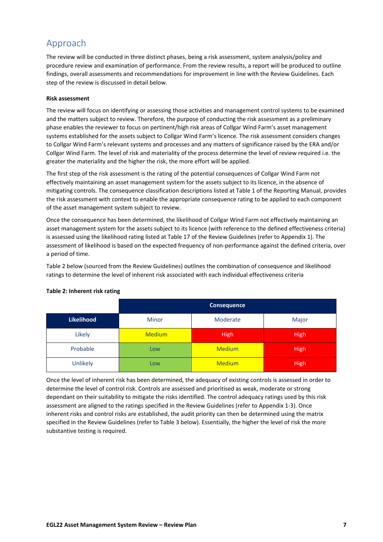# <span id="page-44-0"></span>Approach

The review will be conducted in three distinct phases, being a risk assessment, system analysis/policy and procedure review and examination of performance. From the review results, a report will be produced to outline findings, overall assessments and recommendations for improvement in line with the Review Guidelines. Each step of the review is discussed in detail below.

### **Risk assessment**

The review will focus on identifying or assessing those activities and management control systems to be examined and the matters subject to review. Therefore, the purpose of conducting the risk assessment as a preliminary phase enables the reviewer to focus on pertinent/high risk areas of Collgar Wind Farm's asset management systems established for the assets subject to Collgar Wind Farm's licence. The risk assessment considers changes to Collgar Wind Farm's relevant systems and processes and any matters of significance raised by the ERA and/or Collgar Wind Farm. The level of risk and materiality of the process determine the level of review required i.e. the greater the materiality and the higher the risk, the more effort will be applied.

The first step of the risk assessment is the rating of the potential consequences of Collgar Wind Farm not effectively maintaining an asset management system for the assets subject to its licence, in the absence of mitigating controls. The consequence classification descriptions listed at Table 1 of the Reporting Manual, provides the risk assessment with context to enable the appropriate consequence rating to be applied to each component of the asset management system subject to review.

Once the consequence has been determined, the likelihood of Collgar Wind Farm not effectively maintaining an asset management system for the assets subject to its licence (with reference to the defined effectiveness criteria) is assessed using the likelihood rating listed at Table 17 of the Review Guidelines (refer to Appendix 1). The assessment of likelihood is based on the expected frequency of non-performance against the defined criteria, over a period of time.

Table 2 below (sourced from the Review Guidelines) outlines the combination of consequence and likelihood ratings to determine the level of inherent risk associated with each individual effectiveness criteria

|            | <b>Consequence</b> |               |             |  |  |  |
|------------|--------------------|---------------|-------------|--|--|--|
| Likelihood | <b>Minor</b>       | Major         |             |  |  |  |
| Likely     | <b>Medium</b>      | <b>High</b>   | <b>High</b> |  |  |  |
| Probable   | <b>Low</b>         | <b>Medium</b> | <b>High</b> |  |  |  |
| Unlikely   | Low                | <b>Medium</b> | <b>High</b> |  |  |  |

### **Table 2: Inherent risk rating**

Once the level of inherent risk has been determined, the adequacy of existing controls is assessed in order to determine the level of control risk. Controls are assessed and prioritised as weak, moderate or strong dependant on their suitability to mitigate the risks identified. The control adequacy ratings used by this risk assessment are aligned to the ratings specified in the Review Guidelines (refer to Appendix 1-3). Once inherent risks and control risks are established, the audit priority can then be determined using the matrix specified in the Review Guidelines (refer to Table 3 below). Essentially, the higher the level of risk the more substantive testing is required.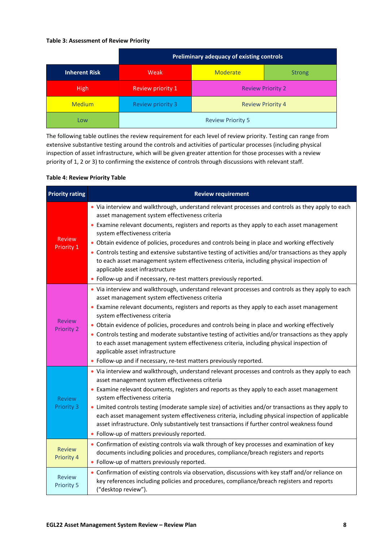### **Table 3: Assessment of Review Priority**

|                      |                          | Preliminary adequacy of existing controls |  |  |  |  |  |
|----------------------|--------------------------|-------------------------------------------|--|--|--|--|--|
| <b>Inherent Risk</b> | Weak                     | Moderate<br><b>Strong</b>                 |  |  |  |  |  |
| <b>High</b>          | Review priority 1        | <b>Review Priority 2</b>                  |  |  |  |  |  |
| <b>Medium</b>        | <b>Review priority 3</b> | <b>Review Priority 4</b>                  |  |  |  |  |  |
| Low                  |                          | <b>Review Priority 5</b>                  |  |  |  |  |  |

The following table outlines the review requirement for each level of review priority. Testing can range from extensive substantive testing around the controls and activities of particular processes (including physical inspection of asset infrastructure, which will be given greater attention for those processes with a review priority of 1, 2 or 3) to confirming the existence of controls through discussions with relevant staff.

### **Table 4: Review Priority Table**

| <b>Priority rating</b>             | <b>Review requirement</b>                                                                                                                                                                                                                                                                                                                                                                                                                                                                                                                                                                                                                                                                       |
|------------------------------------|-------------------------------------------------------------------------------------------------------------------------------------------------------------------------------------------------------------------------------------------------------------------------------------------------------------------------------------------------------------------------------------------------------------------------------------------------------------------------------------------------------------------------------------------------------------------------------------------------------------------------------------------------------------------------------------------------|
| <b>Review</b>                      | • Via interview and walkthrough, understand relevant processes and controls as they apply to each<br>asset management system effectiveness criteria<br>• Examine relevant documents, registers and reports as they apply to each asset management<br>system effectiveness criteria                                                                                                                                                                                                                                                                                                                                                                                                              |
| Priority 1                         | • Obtain evidence of policies, procedures and controls being in place and working effectively<br>• Controls testing and extensive substantive testing of activities and/or transactions as they apply<br>to each asset management system effectiveness criteria, including physical inspection of<br>applicable asset infrastructure<br>• Follow-up and if necessary, re-test matters previously reported.                                                                                                                                                                                                                                                                                      |
| <b>Review</b><br>Priority 2        | . Via interview and walkthrough, understand relevant processes and controls as they apply to each<br>asset management system effectiveness criteria<br>• Examine relevant documents, registers and reports as they apply to each asset management<br>system effectiveness criteria<br>• Obtain evidence of policies, procedures and controls being in place and working effectively<br>• Controls testing and moderate substantive testing of activities and/or transactions as they apply<br>to each asset management system effectiveness criteria, including physical inspection of<br>applicable asset infrastructure<br>• Follow-up and if necessary, re-test matters previously reported. |
| <b>Review</b><br><b>Priority 3</b> | . Via interview and walkthrough, understand relevant processes and controls as they apply to each<br>asset management system effectiveness criteria<br>• Examine relevant documents, registers and reports as they apply to each asset management<br>system effectiveness criteria<br>• Limited controls testing (moderate sample size) of activities and/or transactions as they apply to<br>each asset management system effectiveness criteria, including physical inspection of applicable<br>asset infrastructure. Only substantively test transactions if further control weakness found<br>• Follow-up of matters previously reported.                                                   |
| <b>Review</b><br>Priority 4        | • Confirmation of existing controls via walk through of key processes and examination of key<br>documents including policies and procedures, compliance/breach registers and reports<br>• Follow-up of matters previously reported.                                                                                                                                                                                                                                                                                                                                                                                                                                                             |
| <b>Review</b><br><b>Priority 5</b> | • Confirmation of existing controls via observation, discussions with key staff and/or reliance on<br>key references including policies and procedures, compliance/breach registers and reports<br>("desktop review").                                                                                                                                                                                                                                                                                                                                                                                                                                                                          |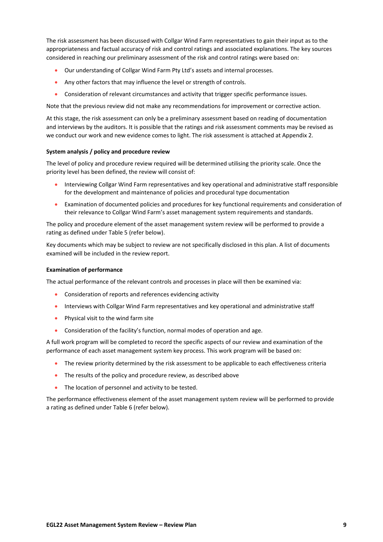The risk assessment has been discussed with Collgar Wind Farm representatives to gain their input as to the appropriateness and factual accuracy of risk and control ratings and associated explanations. The key sources considered in reaching our preliminary assessment of the risk and control ratings were based on:

- Our understanding of Collgar Wind Farm Pty Ltd's assets and internal processes.
- Any other factors that may influence the level or strength of controls.
- Consideration of relevant circumstances and activity that trigger specific performance issues.

Note that the previous review did not make any recommendations for improvement or corrective action.

At this stage, the risk assessment can only be a preliminary assessment based on reading of documentation and interviews by the auditors. It is possible that the ratings and risk assessment comments may be revised as we conduct our work and new evidence comes to light. The risk assessment is attached at Appendix 2.

### **System analysis / policy and procedure review**

The level of policy and procedure review required will be determined utilising the priority scale. Once the priority level has been defined, the review will consist of:

- Interviewing Collgar Wind Farm representatives and key operational and administrative staff responsible for the development and maintenance of policies and procedural type documentation
- Examination of documented policies and procedures for key functional requirements and consideration of their relevance to Collgar Wind Farm's asset management system requirements and standards.

The policy and procedure element of the asset management system review will be performed to provide a rating as defined under Table 5 (refer below).

Key documents which may be subject to review are not specifically disclosed in this plan. A list of documents examined will be included in the review report.

#### **Examination of performance**

The actual performance of the relevant controls and processes in place will then be examined via:

- Consideration of reports and references evidencing activity
- Interviews with Collgar Wind Farm representatives and key operational and administrative staff
- Physical visit to the wind farm site
- Consideration of the facility's function, normal modes of operation and age.

A full work program will be completed to record the specific aspects of our review and examination of the performance of each asset management system key process. This work program will be based on:

- The review priority determined by the risk assessment to be applicable to each effectiveness criteria
- The results of the policy and procedure review, as described above
- The location of personnel and activity to be tested.

The performance effectiveness element of the asset management system review will be performed to provide a rating as defined under Table 6 (refer below).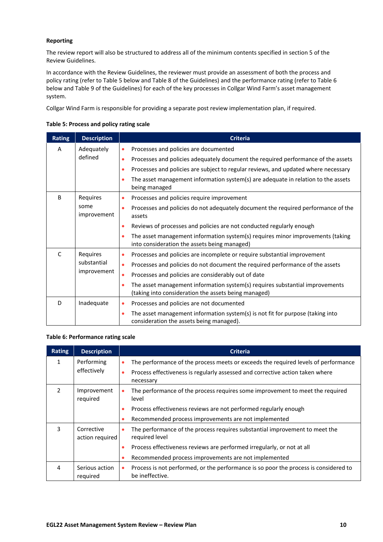### **Reporting**

The review report will also be structured to address all of the minimum contents specified in section 5 of the Review Guidelines.

In accordance with the Review Guidelines, the reviewer must provide an assessment of both the process and policy rating (refer to Table 5 below and Table 8 of the Guidelines) and the performance rating (refer to Table 6 below and Table 9 of the Guidelines) for each of the key processes in Collgar Wind Farm's asset management system.

Collgar Wind Farm is responsible for providing a separate post review implementation plan, if required.

### **Table 5: Process and policy rating scale**

| <b>Rating</b> | <b>Description</b>  | <b>Criteria</b>                                                                                                                           |
|---------------|---------------------|-------------------------------------------------------------------------------------------------------------------------------------------|
| A             | Adequately          | Processes and policies are documented<br>$\bullet$                                                                                        |
|               | defined             | Processes and policies adequately document the required performance of the assets<br>۰                                                    |
|               |                     | Processes and policies are subject to regular reviews, and updated where necessary<br>۰                                                   |
|               |                     | The asset management information system(s) are adequate in relation to the assets<br>٠<br>being managed                                   |
| B             | Requires            | Processes and policies require improvement<br>$\bullet$                                                                                   |
|               | some<br>improvement | Processes and policies do not adequately document the required performance of the<br>٠<br>assets                                          |
|               |                     | Reviews of processes and policies are not conducted regularly enough<br>$\bullet$                                                         |
|               |                     | The asset management information system(s) requires minor improvements (taking<br>۰<br>into consideration the assets being managed)       |
| $\mathsf{C}$  | Requires            | Processes and policies are incomplete or require substantial improvement<br>۰                                                             |
|               | substantial         | Processes and policies do not document the required performance of the assets<br>۰                                                        |
|               | improvement         | Processes and policies are considerably out of date<br>$\bullet$                                                                          |
|               |                     | The asset management information system(s) requires substantial improvements<br>۰<br>(taking into consideration the assets being managed) |
| D             | Inadequate          | Processes and policies are not documented<br>۰                                                                                            |
|               |                     | The asset management information system(s) is not fit for purpose (taking into<br>۰<br>consideration the assets being managed).           |

### **Table 6: Performance rating scale**

| <b>Rating</b> | <b>Description</b>            | <b>Criteria</b>                                                                                                      |
|---------------|-------------------------------|----------------------------------------------------------------------------------------------------------------------|
| 1             | Performing                    | The performance of the process meets or exceeds the required levels of performance<br>$\bullet$                      |
|               | effectively                   | Process effectiveness is regularly assessed and corrective action taken where<br>necessary                           |
| $\mathcal{P}$ | Improvement<br>required       | The performance of the process requires some improvement to meet the required<br>۰<br>level                          |
|               |                               | Process effectiveness reviews are not performed regularly enough                                                     |
|               |                               | Recommended process improvements are not implemented                                                                 |
| 3             | Corrective<br>action required | The performance of the process requires substantial improvement to meet the<br>$\bullet$<br>required level           |
|               |                               | Process effectiveness reviews are performed irregularly, or not at all                                               |
|               |                               | Recommended process improvements are not implemented                                                                 |
| 4             | Serious action<br>required    | Process is not performed, or the performance is so poor the process is considered to<br>$\bullet$<br>be ineffective. |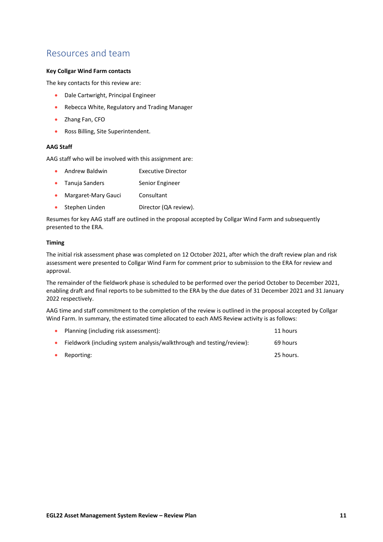# <span id="page-48-0"></span>Resources and team

### **Key Collgar Wind Farm contacts**

The key contacts for this review are:

- Dale Cartwright, Principal Engineer
- Rebecca White, Regulatory and Trading Manager
- Zhang Fan, CFO
- Ross Billing, Site Superintendent.

### **AAG Staff**

AAG staff who will be involved with this assignment are:

- Andrew Baldwin **Executive Director**
- Tanuja Sanders Senior Engineer
- Margaret-Mary Gauci Consultant
- Stephen Linden Director (QA review).

Resumes for key AAG staff are outlined in the proposal accepted by Collgar Wind Farm and subsequently presented to the ERA.

### **Timing**

The initial risk assessment phase was completed on 12 October 2021, after which the draft review plan and risk assessment were presented to Collgar Wind Farm for comment prior to submission to the ERA for review and approval.

The remainder of the fieldwork phase is scheduled to be performed over the period October to December 2021, enabling draft and final reports to be submitted to the ERA by the due dates of 31 December 2021 and 31 January 2022 respectively.

AAG time and staff commitment to the completion of the review is outlined in the proposal accepted by Collgar Wind Farm. In summary, the estimated time allocated to each AMS Review activity is as follows:

| $\bullet$ | Planning (including risk assessment):                                 | 11 hours  |
|-----------|-----------------------------------------------------------------------|-----------|
|           | Fieldwork (including system analysis/walkthrough and testing/review): | 69 hours  |
|           | Reporting:                                                            | 25 hours. |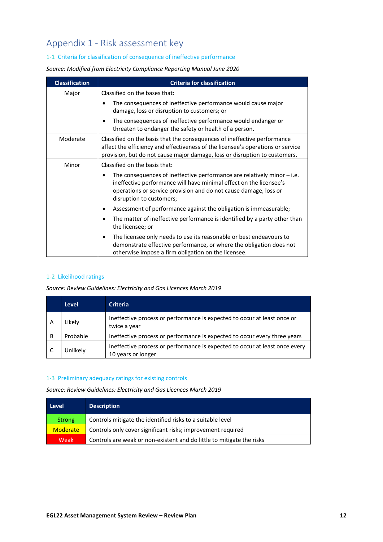# <span id="page-49-0"></span>Appendix 1 - Risk assessment key

### 1-1 Criteria for classification of consequence of ineffective performance

*Source: Modified from Electricity Compliance Reporting Manual June 2020*

| <b>Classification</b> | <b>Criteria for classification</b>                                                                                                                                                                                                                   |
|-----------------------|------------------------------------------------------------------------------------------------------------------------------------------------------------------------------------------------------------------------------------------------------|
| Major                 | Classified on the bases that:                                                                                                                                                                                                                        |
|                       | The consequences of ineffective performance would cause major<br>$\bullet$<br>damage, loss or disruption to customers; or                                                                                                                            |
|                       | The consequences of ineffective performance would endanger or<br>$\bullet$<br>threaten to endanger the safety or health of a person.                                                                                                                 |
| Moderate              | Classified on the basis that the consequences of ineffective performance<br>affect the efficiency and effectiveness of the licensee's operations or service<br>provision, but do not cause major damage, loss or disruption to customers.            |
| Minor                 | Classified on the basis that:                                                                                                                                                                                                                        |
|                       | The consequences of ineffective performance are relatively minor $-$ i.e.<br>٠<br>ineffective performance will have minimal effect on the licensee's<br>operations or service provision and do not cause damage, loss or<br>disruption to customers; |
|                       | Assessment of performance against the obligation is immeasurable;<br>$\bullet$                                                                                                                                                                       |
|                       | The matter of ineffective performance is identified by a party other than<br>$\bullet$<br>the licensee; or                                                                                                                                           |
|                       | The licensee only needs to use its reasonable or best endeavours to<br>$\bullet$<br>demonstrate effective performance, or where the obligation does not<br>otherwise impose a firm obligation on the licensee.                                       |

### 1-2 Likelihood ratings

*Source: Review Guidelines: Electricity and Gas Licences March 2019*

|   | <b>Level</b> | <b>Criteria</b>                                                                                   |
|---|--------------|---------------------------------------------------------------------------------------------------|
| А | Likely       | Ineffective process or performance is expected to occur at least once or<br>twice a year          |
| B | Probable     | Ineffective process or performance is expected to occur every three years                         |
|   | Unlikely     | Ineffective process or performance is expected to occur at least once every<br>10 years or longer |

### 1-3 Preliminary adequacy ratings for existing controls

*Source: Review Guidelines: Electricity and Gas Licences March 2019*

| <b>Level</b>    | <b>Description</b>                                                    |
|-----------------|-----------------------------------------------------------------------|
| <b>Strong</b>   | Controls mitigate the identified risks to a suitable level            |
| <b>Moderate</b> | Controls only cover significant risks; improvement required           |
| Weak            | Controls are weak or non-existent and do little to mitigate the risks |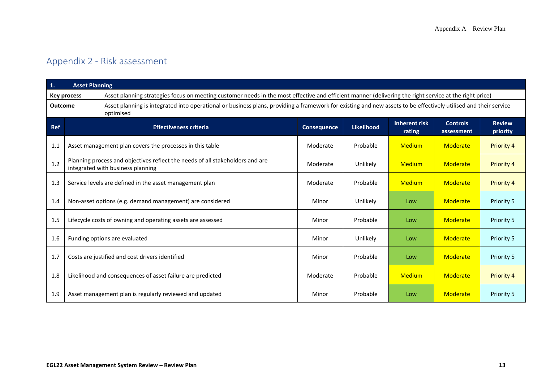# Appendix 2 - Risk assessment

<span id="page-50-0"></span>

| $\mathbf{1}$ . | <b>Asset Planning</b>                                                                                              |                                                                                                                                                                              |             |                   |                         |                               |                           |
|----------------|--------------------------------------------------------------------------------------------------------------------|------------------------------------------------------------------------------------------------------------------------------------------------------------------------------|-------------|-------------------|-------------------------|-------------------------------|---------------------------|
|                | <b>Key process</b>                                                                                                 | Asset planning strategies focus on meeting customer needs in the most effective and efficient manner (delivering the right service at the right price)                       |             |                   |                         |                               |                           |
| <b>Outcome</b> |                                                                                                                    | Asset planning is integrated into operational or business plans, providing a framework for existing and new assets to be effectively utilised and their service<br>optimised |             |                   |                         |                               |                           |
| Ref            |                                                                                                                    | <b>Effectiveness criteria</b>                                                                                                                                                | Consequence | <b>Likelihood</b> | Inherent risk<br>rating | <b>Controls</b><br>assessment | <b>Review</b><br>priority |
| 1.1            |                                                                                                                    | Asset management plan covers the processes in this table                                                                                                                     | Moderate    | Probable          | <b>Medium</b>           | Moderate                      | Priority 4                |
| 1.2            | Planning process and objectives reflect the needs of all stakeholders and are<br>integrated with business planning |                                                                                                                                                                              | Moderate    | Unlikely          | <b>Medium</b>           | Moderate                      | Priority 4                |
| 1.3            | Service levels are defined in the asset management plan                                                            |                                                                                                                                                                              | Moderate    | Probable          | <b>Medium</b>           | Moderate                      | Priority 4                |
| 1.4            | Non-asset options (e.g. demand management) are considered                                                          |                                                                                                                                                                              | Minor       | Unlikely          | Low                     | Moderate                      | <b>Priority 5</b>         |
| 1.5            | Lifecycle costs of owning and operating assets are assessed                                                        |                                                                                                                                                                              | Minor       | Probable          | Low                     | Moderate                      | Priority 5                |
| 1.6            | Funding options are evaluated                                                                                      |                                                                                                                                                                              | Minor       | Unlikely          | Low                     | Moderate                      | Priority 5                |
| 1.7            | Costs are justified and cost drivers identified                                                                    |                                                                                                                                                                              | Minor       | Probable          | Low                     | Moderate                      | <b>Priority 5</b>         |
| 1.8            |                                                                                                                    | Likelihood and consequences of asset failure are predicted                                                                                                                   | Moderate    | Probable          | <b>Medium</b>           | Moderate                      | Priority 4                |
| 1.9            |                                                                                                                    | Asset management plan is regularly reviewed and updated                                                                                                                      | Minor       | Probable          | Low                     | Moderate                      | Priority 5                |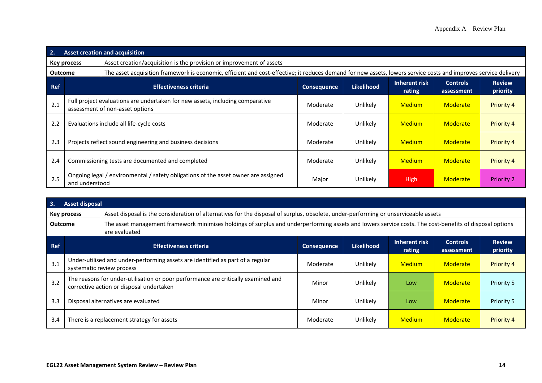| 2.             | <b>Asset creation and acquisition</b>                                                                                                |                                                                                                                                                                 |          |          |               |                           |                   |
|----------------|--------------------------------------------------------------------------------------------------------------------------------------|-----------------------------------------------------------------------------------------------------------------------------------------------------------------|----------|----------|---------------|---------------------------|-------------------|
|                | Asset creation/acquisition is the provision or improvement of assets<br>Key process                                                  |                                                                                                                                                                 |          |          |               |                           |                   |
| <b>Outcome</b> |                                                                                                                                      | The asset acquisition framework is economic, efficient and cost-effective; it reduces demand for new assets, lowers service costs and improves service delivery |          |          |               |                           |                   |
| <b>Ref</b>     | Inherent risk<br><b>Controls</b><br><b>Likelihood</b><br><b>Effectiveness criteria</b><br><b>Consequence</b><br>rating<br>assessment |                                                                                                                                                                 |          |          |               | <b>Review</b><br>priority |                   |
| 2.1            |                                                                                                                                      | Full project evaluations are undertaken for new assets, including comparative<br>assessment of non-asset options                                                | Moderate | Unlikely | <b>Medium</b> | <b>Moderate</b>           | <b>Priority 4</b> |
| 2.2            | Evaluations include all life-cycle costs                                                                                             |                                                                                                                                                                 | Moderate | Unlikely | <b>Medium</b> | <b>Moderate</b>           | <b>Priority 4</b> |
| 2.3            | Projects reflect sound engineering and business decisions                                                                            |                                                                                                                                                                 | Moderate | Unlikely | <b>Medium</b> | <b>Moderate</b>           | <b>Priority 4</b> |
| 2.4            |                                                                                                                                      | Commissioning tests are documented and completed                                                                                                                | Moderate | Unlikely | <b>Medium</b> | Moderate                  | <b>Priority 4</b> |
| 2.5            | and understood                                                                                                                       | Ongoing legal / environmental / safety obligations of the asset owner are assigned                                                                              | Major    | Unlikely | High          | Moderate                  | <b>Priority 2</b> |

| 3.         | Asset disposal                                                                                                                                                                             |                                            |          |          |               |          |                   |
|------------|--------------------------------------------------------------------------------------------------------------------------------------------------------------------------------------------|--------------------------------------------|----------|----------|---------------|----------|-------------------|
|            | Asset disposal is the consideration of alternatives for the disposal of surplus, obsolete, under-performing or unserviceable assets<br>Key process                                         |                                            |          |          |               |          |                   |
|            | The asset management framework minimises holdings of surplus and underperforming assets and lowers service costs. The cost-benefits of disposal options<br><b>Outcome</b><br>are evaluated |                                            |          |          |               |          |                   |
| <b>Ref</b> | Inherent risk<br><b>Review</b><br><b>Controls</b><br><b>Likelihood</b><br><b>Effectiveness criteria</b><br><b>Consequence</b><br>rating<br>priority<br>assessment                          |                                            |          |          |               |          |                   |
| 3.1        | Under-utilised and under-performing assets are identified as part of a regular<br>systematic review process                                                                                |                                            | Moderate | Unlikely | <b>Medium</b> | Moderate | <b>Priority 4</b> |
| 3.2        | The reasons for under-utilisation or poor performance are critically examined and<br>corrective action or disposal undertaken                                                              |                                            | Minor    | Unlikely | Low           | Moderate | <b>Priority 5</b> |
| 3.3        | Disposal alternatives are evaluated                                                                                                                                                        |                                            | Minor    | Unlikely | Low           | Moderate | <b>Priority 5</b> |
| 3.4        |                                                                                                                                                                                            | There is a replacement strategy for assets | Moderate | Unlikely | <b>Medium</b> | Moderate | <b>Priority 4</b> |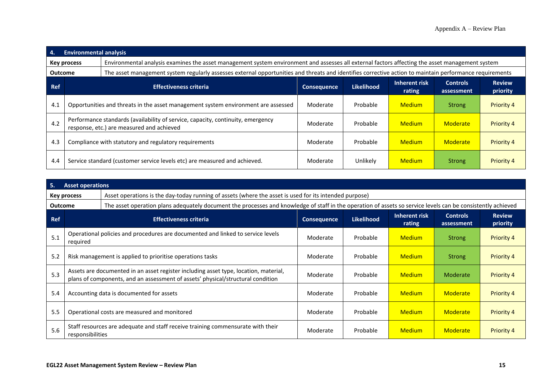| 4.             | <b>Environmental analysis</b>                                                                                                |                                                                                                                                                         |                    |                   |                         |                               |                           |
|----------------|------------------------------------------------------------------------------------------------------------------------------|---------------------------------------------------------------------------------------------------------------------------------------------------------|--------------------|-------------------|-------------------------|-------------------------------|---------------------------|
|                | <b>Key process</b>                                                                                                           | Environmental analysis examines the asset management system environment and assesses all external factors affecting the asset management system         |                    |                   |                         |                               |                           |
| <b>Outcome</b> |                                                                                                                              | The asset management system regularly assesses external opportunities and threats and identifies corrective action to maintain performance requirements |                    |                   |                         |                               |                           |
| <b>Ref</b>     | <b>Effectiveness criteria</b>                                                                                                |                                                                                                                                                         | <b>Consequence</b> | <b>Likelihood</b> | Inherent risk<br>rating | <b>Controls</b><br>assessment | <b>Review</b><br>priority |
| 4.1            |                                                                                                                              | Opportunities and threats in the asset management system environment are assessed                                                                       | Moderate           | Probable          | <b>Medium</b>           | <b>Strong</b>                 | <b>Priority 4</b>         |
| 4.2            | Performance standards (availability of service, capacity, continuity, emergency<br>response, etc.) are measured and achieved |                                                                                                                                                         | Moderate           | Probable          | <b>Medium</b>           | Moderate                      | <b>Priority 4</b>         |
| 4.3            | Compliance with statutory and regulatory requirements                                                                        |                                                                                                                                                         | Moderate           | Probable          | <b>Medium</b>           | Moderate                      | <b>Priority 4</b>         |
| 4.4            |                                                                                                                              | Service standard (customer service levels etc) are measured and achieved.                                                                               | Moderate           | Unlikely          | <b>Medium</b>           | <b>Strong</b>                 | <b>Priority 4</b>         |

| 5.         | <b>Asset operations</b>                                                                                               |                                                                                                                                                                         |                    |                   |                                |                               |                           |
|------------|-----------------------------------------------------------------------------------------------------------------------|-------------------------------------------------------------------------------------------------------------------------------------------------------------------------|--------------------|-------------------|--------------------------------|-------------------------------|---------------------------|
|            | Asset operations is the day-today running of assets (where the asset is used for its intended purpose)<br>Key process |                                                                                                                                                                         |                    |                   |                                |                               |                           |
| Outcome    |                                                                                                                       | The asset operation plans adequately document the processes and knowledge of staff in the operation of assets so service levels can be consistently achieved            |                    |                   |                                |                               |                           |
| <b>Ref</b> | <b>Effectiveness criteria</b>                                                                                         |                                                                                                                                                                         | <b>Consequence</b> | <b>Likelihood</b> | <b>Inherent risk</b><br>rating | <b>Controls</b><br>assessment | <b>Review</b><br>priority |
| 5.1        | Operational policies and procedures are documented and linked to service levels<br>required                           |                                                                                                                                                                         | Moderate           | Probable          | <b>Medium</b>                  | <b>Strong</b>                 | <b>Priority 4</b>         |
| 5.2        | Risk management is applied to prioritise operations tasks                                                             |                                                                                                                                                                         | Moderate           | Probable          | <b>Medium</b>                  | <b>Strong</b>                 | <b>Priority 4</b>         |
| 5.3        |                                                                                                                       | Assets are documented in an asset register including asset type, location, material,<br>plans of components, and an assessment of assets' physical/structural condition | Moderate           | Probable          | <b>Medium</b>                  | Moderate                      | <b>Priority 4</b>         |
| 5.4        | Accounting data is documented for assets                                                                              |                                                                                                                                                                         | Moderate           | Probable          | <b>Medium</b>                  | <b>Moderate</b>               | <b>Priority 4</b>         |
| 5.5        |                                                                                                                       | Operational costs are measured and monitored                                                                                                                            | Moderate           | Probable          | <b>Medium</b>                  | Moderate                      | <b>Priority 4</b>         |
| 5.6        | responsibilities                                                                                                      | Staff resources are adequate and staff receive training commensurate with their                                                                                         | Moderate           | Probable          | <b>Medium</b>                  | Moderate                      | <b>Priority 4</b>         |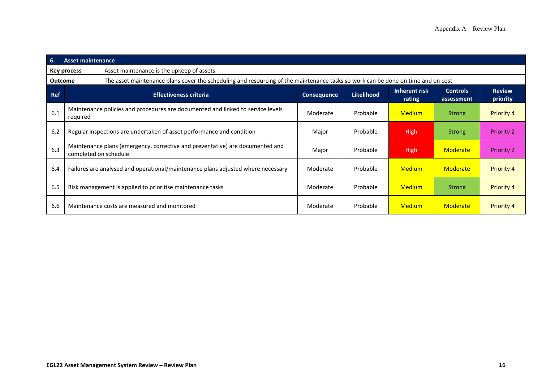| 6.             | <b>Asset maintenance</b>                                                         |                                                                                                                                  |                    |                   |                         |                               |                           |
|----------------|----------------------------------------------------------------------------------|----------------------------------------------------------------------------------------------------------------------------------|--------------------|-------------------|-------------------------|-------------------------------|---------------------------|
|                | Asset maintenance is the upkeep of assets<br>Key process                         |                                                                                                                                  |                    |                   |                         |                               |                           |
| <b>Outcome</b> |                                                                                  | The asset maintenance plans cover the scheduling and resourcing of the maintenance tasks so work can be done on time and on cost |                    |                   |                         |                               |                           |
| <b>Ref</b>     |                                                                                  | <b>Effectiveness criteria</b>                                                                                                    | <b>Consequence</b> | <b>Likelihood</b> | Inherent risk<br>rating | <b>Controls</b><br>assessment | <b>Review</b><br>priority |
| 6.1            | required                                                                         | Maintenance policies and procedures are documented and linked to service levels                                                  | Moderate           | Probable          | <b>Medium</b>           | <b>Strong</b>                 | <b>Priority 4</b>         |
| 6.2            | Regular inspections are undertaken of asset performance and condition            |                                                                                                                                  | Major              | Probable          | <b>High</b>             | <b>Strong</b>                 | <b>Priority 2</b>         |
| 6.3            | completed on schedule                                                            | Maintenance plans (emergency, corrective and preventative) are documented and                                                    | Major              | Probable          | <b>High</b>             | Moderate                      | <b>Priority 2</b>         |
| 6.4            | Failures are analysed and operational/maintenance plans adjusted where necessary |                                                                                                                                  | Moderate           | Probable          | <b>Medium</b>           | Moderate                      | <b>Priority 4</b>         |
| 6.5            |                                                                                  | Risk management is applied to prioritise maintenance tasks                                                                       | Moderate           | Probable          | <b>Medium</b>           | <b>Strong</b>                 | <b>Priority 4</b>         |
| 6.6            |                                                                                  | Maintenance costs are measured and monitored                                                                                     | Moderate           | Probable          | <b>Medium</b>           | Moderate                      | <b>Priority 4</b>         |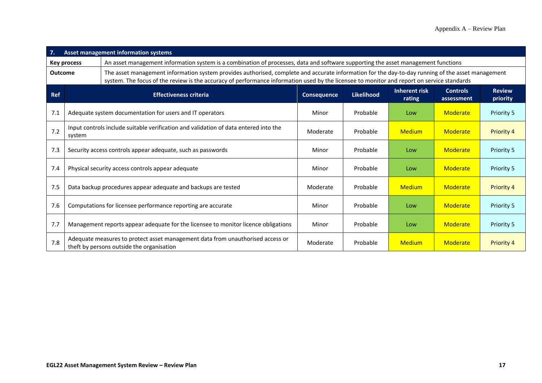| 7.             | Asset management information systems                                                                                                                    |                                                                                                                                                                                                                                                                                                 |                    |                   |                                |                               |                           |
|----------------|---------------------------------------------------------------------------------------------------------------------------------------------------------|-------------------------------------------------------------------------------------------------------------------------------------------------------------------------------------------------------------------------------------------------------------------------------------------------|--------------------|-------------------|--------------------------------|-------------------------------|---------------------------|
|                | An asset management information system is a combination of processes, data and software supporting the asset management functions<br><b>Key process</b> |                                                                                                                                                                                                                                                                                                 |                    |                   |                                |                               |                           |
| <b>Outcome</b> |                                                                                                                                                         | The asset management information system provides authorised, complete and accurate information for the day-to-day running of the asset management<br>system. The focus of the review is the accuracy of performance information used by the licensee to monitor and report on service standards |                    |                   |                                |                               |                           |
| <b>Ref</b>     |                                                                                                                                                         | <b>Effectiveness criteria</b>                                                                                                                                                                                                                                                                   | <b>Consequence</b> | <b>Likelihood</b> | <b>Inherent risk</b><br>rating | <b>Controls</b><br>assessment | <b>Review</b><br>priority |
| 7.1            | Adequate system documentation for users and IT operators                                                                                                |                                                                                                                                                                                                                                                                                                 | Minor              | Probable          | Low                            | Moderate                      | Priority 5                |
| 7.2            | Input controls include suitable verification and validation of data entered into the<br>system                                                          |                                                                                                                                                                                                                                                                                                 | Moderate           | Probable          | <b>Medium</b>                  | Moderate                      | <b>Priority 4</b>         |
| 7.3            | Security access controls appear adequate, such as passwords                                                                                             |                                                                                                                                                                                                                                                                                                 | Minor              | Probable          | Low                            | Moderate                      | Priority 5                |
| 7.4            |                                                                                                                                                         | Physical security access controls appear adequate                                                                                                                                                                                                                                               | Minor              | Probable          | Low                            | Moderate                      | Priority 5                |
| 7.5            |                                                                                                                                                         | Data backup procedures appear adequate and backups are tested                                                                                                                                                                                                                                   | Moderate           | Probable          | <b>Medium</b>                  | Moderate                      | Priority 4                |
| 7.6            | Computations for licensee performance reporting are accurate                                                                                            |                                                                                                                                                                                                                                                                                                 | Minor              | Probable          | Low                            | Moderate                      | Priority 5                |
| 7.7            |                                                                                                                                                         | Management reports appear adequate for the licensee to monitor licence obligations                                                                                                                                                                                                              | Minor              | Probable          | Low                            | Moderate                      | <b>Priority 5</b>         |
| 7.8            |                                                                                                                                                         | Adequate measures to protect asset management data from unauthorised access or<br>theft by persons outside the organisation                                                                                                                                                                     | Moderate           | Probable          | <b>Medium</b>                  | Moderate                      | <b>Priority 4</b>         |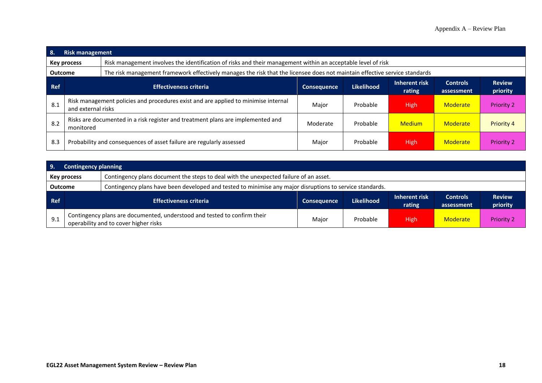| 8.         | <b>Risk management</b>                                                                       |                                                                                                                            |                    |                   |                         |                               |                           |
|------------|----------------------------------------------------------------------------------------------|----------------------------------------------------------------------------------------------------------------------------|--------------------|-------------------|-------------------------|-------------------------------|---------------------------|
|            | Key process                                                                                  | Risk management involves the identification of risks and their management within an acceptable level of risk               |                    |                   |                         |                               |                           |
| Outcome    |                                                                                              | The risk management framework effectively manages the risk that the licensee does not maintain effective service standards |                    |                   |                         |                               |                           |
| <b>Ref</b> | <b>Effectiveness criteria</b>                                                                |                                                                                                                            | <b>Consequence</b> | <b>Likelihood</b> | Inherent risk<br>rating | <b>Controls</b><br>assessment | <b>Review</b><br>priority |
| 8.1        | and external risks                                                                           | Risk management policies and procedures exist and are applied to minimise internal                                         | Major              | Probable          | <b>High</b>             | Moderate                      | <b>Priority 2</b>         |
| 8.2        | Risks are documented in a risk register and treatment plans are implemented and<br>monitored |                                                                                                                            | Moderate           | Probable          | <b>Medium</b>           | Moderate                      | <b>Priority 4</b>         |
| 8.3        |                                                                                              | Probability and consequences of asset failure are regularly assessed                                                       | Major              | Probable          | <b>High</b>             | Moderate                      | <b>Priority 2</b>         |

| -9.                                                                                                                        | <b>Contingency planning</b>                                                                                 |                                                                                                                   |                    |                   |                         |                               |                           |
|----------------------------------------------------------------------------------------------------------------------------|-------------------------------------------------------------------------------------------------------------|-------------------------------------------------------------------------------------------------------------------|--------------------|-------------------|-------------------------|-------------------------------|---------------------------|
|                                                                                                                            | Contingency plans document the steps to deal with the unexpected failure of an asset.<br><b>Key process</b> |                                                                                                                   |                    |                   |                         |                               |                           |
| Contingency plans have been developed and tested to minimise any major disruptions to service standards.<br><b>Outcome</b> |                                                                                                             |                                                                                                                   |                    |                   |                         |                               |                           |
| Ref                                                                                                                        |                                                                                                             | <b>Effectiveness criteria</b>                                                                                     | <b>Consequence</b> | <b>Likelihood</b> | Inherent risk<br>rating | <b>Controls</b><br>assessment | <b>Review</b><br>priority |
| 9.1                                                                                                                        |                                                                                                             | Contingency plans are documented, understood and tested to confirm their<br>operability and to cover higher risks | Major              | Probable          | High                    | Moderate                      | <b>Priority 2</b>         |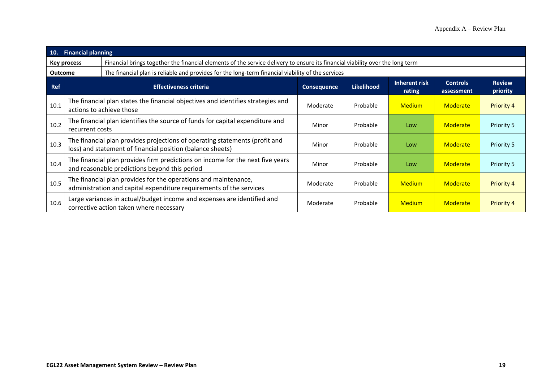| 10.            | <b>Financial planning</b>                                                                                                              |                                                                                                                                           |                    |                   |                         |                               |                           |
|----------------|----------------------------------------------------------------------------------------------------------------------------------------|-------------------------------------------------------------------------------------------------------------------------------------------|--------------------|-------------------|-------------------------|-------------------------------|---------------------------|
|                | <b>Key process</b>                                                                                                                     | Financial brings together the financial elements of the service delivery to ensure its financial viability over the long term             |                    |                   |                         |                               |                           |
| <b>Outcome</b> |                                                                                                                                        | The financial plan is reliable and provides for the long-term financial viability of the services                                         |                    |                   |                         |                               |                           |
| <b>Ref</b>     | <b>Effectiveness criteria</b>                                                                                                          |                                                                                                                                           | <b>Consequence</b> | <b>Likelihood</b> | Inherent risk<br>rating | <b>Controls</b><br>assessment | <b>Review</b><br>priority |
| 10.1           | The financial plan states the financial objectives and identifies strategies and<br>actions to achieve those                           |                                                                                                                                           | Moderate           | Probable          | <b>Medium</b>           | <b>Moderate</b>               | <b>Priority 4</b>         |
| 10.2           | The financial plan identifies the source of funds for capital expenditure and<br>recurrent costs                                       |                                                                                                                                           | Minor              | Probable          | Low                     | Moderate                      | Priority 5                |
| 10.3           |                                                                                                                                        | The financial plan provides projections of operating statements (profit and<br>loss) and statement of financial position (balance sheets) | Minor              | Probable          | Low                     | <b>Moderate</b>               | Priority 5                |
| 10.4           | The financial plan provides firm predictions on income for the next five years<br>and reasonable predictions beyond this period        |                                                                                                                                           | Minor              | Probable          | Low                     | Moderate                      | Priority 5                |
| 10.5           | The financial plan provides for the operations and maintenance,<br>administration and capital expenditure requirements of the services |                                                                                                                                           | Moderate           | Probable          | <b>Medium</b>           | Moderate                      | <b>Priority 4</b>         |
| 10.6           |                                                                                                                                        | Large variances in actual/budget income and expenses are identified and<br>corrective action taken where necessary                        | Moderate           | Probable          | <b>Medium</b>           | <b>Moderate</b>               | <b>Priority 4</b>         |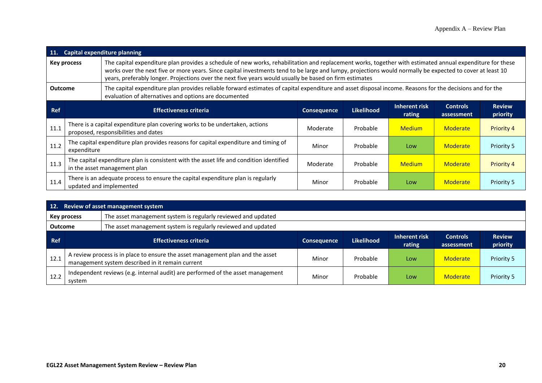| <b>11.</b>                                                                                                                                                                                                                                                                                                                                                                                                                                              | <b>Capital expenditure planning</b>                                                                                     |                                                                                                                      |                    |                   |                         |                               |                           |
|---------------------------------------------------------------------------------------------------------------------------------------------------------------------------------------------------------------------------------------------------------------------------------------------------------------------------------------------------------------------------------------------------------------------------------------------------------|-------------------------------------------------------------------------------------------------------------------------|----------------------------------------------------------------------------------------------------------------------|--------------------|-------------------|-------------------------|-------------------------------|---------------------------|
| The capital expenditure plan provides a schedule of new works, rehabilitation and replacement works, together with estimated annual expenditure for these<br><b>Key process</b><br>works over the next five or more years. Since capital investments tend to be large and lumpy, projections would normally be expected to cover at least 10<br>years, preferably longer. Projections over the next five years would usually be based on firm estimates |                                                                                                                         |                                                                                                                      |                    |                   |                         |                               |                           |
| The capital expenditure plan provides reliable forward estimates of capital expenditure and asset disposal income. Reasons for the decisions and for the<br><b>Outcome</b><br>evaluation of alternatives and options are documented                                                                                                                                                                                                                     |                                                                                                                         |                                                                                                                      |                    |                   |                         |                               |                           |
| <b>Ref</b>                                                                                                                                                                                                                                                                                                                                                                                                                                              |                                                                                                                         | <b>Effectiveness criteria</b>                                                                                        | <b>Consequence</b> | <b>Likelihood</b> | Inherent risk<br>rating | <b>Controls</b><br>assessment | <b>Review</b><br>priority |
| 11.1                                                                                                                                                                                                                                                                                                                                                                                                                                                    |                                                                                                                         | There is a capital expenditure plan covering works to be undertaken, actions<br>proposed, responsibilities and dates | Moderate           | Probable          | <b>Medium</b>           | <b>Moderate</b>               | <b>Priority 4</b>         |
| 11.2                                                                                                                                                                                                                                                                                                                                                                                                                                                    | The capital expenditure plan provides reasons for capital expenditure and timing of<br>expenditure                      |                                                                                                                      | Minor              | Probable          | Low                     | Moderate                      | Priority 5                |
| 11.3                                                                                                                                                                                                                                                                                                                                                                                                                                                    | The capital expenditure plan is consistent with the asset life and condition identified<br>in the asset management plan |                                                                                                                      | Moderate           | Probable          | <b>Medium</b>           | Moderate                      | <b>Priority 4</b>         |
| 11.4                                                                                                                                                                                                                                                                                                                                                                                                                                                    | There is an adequate process to ensure the capital expenditure plan is regularly<br>Minor<br>updated and implemented    |                                                                                                                      |                    |                   | Low                     | Moderate                      | <b>Priority 5</b>         |

| 12.                                                                             | Review of asset management system                                                                                                 |                                                                                                                                    |                    |                   |                         |                               |                           |
|---------------------------------------------------------------------------------|-----------------------------------------------------------------------------------------------------------------------------------|------------------------------------------------------------------------------------------------------------------------------------|--------------------|-------------------|-------------------------|-------------------------------|---------------------------|
|                                                                                 | The asset management system is regularly reviewed and updated<br>Key process                                                      |                                                                                                                                    |                    |                   |                         |                               |                           |
| The asset management system is regularly reviewed and updated<br><b>Outcome</b> |                                                                                                                                   |                                                                                                                                    |                    |                   |                         |                               |                           |
| <b>Ref</b>                                                                      |                                                                                                                                   | <b>Effectiveness criteria</b>                                                                                                      | <b>Consequence</b> | <b>Likelihood</b> | Inherent risk<br>rating | <b>Controls</b><br>assessment | <b>Review</b><br>priority |
| 12.1                                                                            |                                                                                                                                   | A review process is in place to ensure the asset management plan and the asset<br>management system described in it remain current | Minor              | Probable          | Low                     | Moderate                      | Priority 5                |
| 12.2                                                                            | Independent reviews (e.g. internal audit) are performed of the asset management<br>Probable<br>Minor<br>Moderate<br>Low<br>system |                                                                                                                                    |                    |                   |                         | Priority 5                    |                           |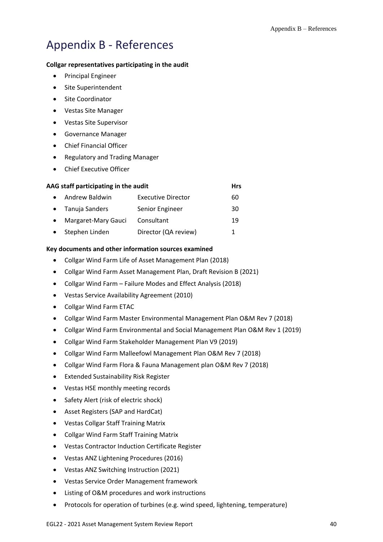# <span id="page-58-0"></span>Appendix B - References

### **Collgar representatives participating in the audit**

- Principal Engineer
- Site Superintendent
- Site Coordinator
- Vestas Site Manager
- Vestas Site Supervisor
- Governance Manager
- Chief Financial Officer
- Regulatory and Trading Manager
- Chief Executive Officer

|           | AAG staff participating in the audit |                           |    |  |  |  |  |
|-----------|--------------------------------------|---------------------------|----|--|--|--|--|
| $\bullet$ | Andrew Baldwin                       | <b>Executive Director</b> | 60 |  |  |  |  |
|           | • Tanuja Sanders                     | Senior Engineer           | 30 |  |  |  |  |
|           | Margaret-Mary Gauci                  | Consultant                | 19 |  |  |  |  |
|           | Stephen Linden                       | Director (QA review)      | 1  |  |  |  |  |

### **Key documents and other information sources examined**

- Collgar Wind Farm Life of Asset Management Plan (2018)
- Collgar Wind Farm Asset Management Plan, Draft Revision B (2021)
- Collgar Wind Farm Failure Modes and Effect Analysis (2018)
- Vestas Service Availability Agreement (2010)
- Collgar Wind Farm ETAC
- Collgar Wind Farm Master Environmental Management Plan O&M Rev 7 (2018)
- Collgar Wind Farm Environmental and Social Management Plan O&M Rev 1 (2019)
- Collgar Wind Farm Stakeholder Management Plan V9 (2019)
- Collgar Wind Farm Malleefowl Management Plan O&M Rev 7 (2018)
- Collgar Wind Farm Flora & Fauna Management plan O&M Rev 7 (2018)
- Extended Sustainability Risk Register
- Vestas HSE monthly meeting records
- Safety Alert (risk of electric shock)
- Asset Registers (SAP and HardCat)
- Vestas Collgar Staff Training Matrix
- Collgar Wind Farm Staff Training Matrix
- Vestas Contractor Induction Certificate Register
- Vestas ANZ Lightening Procedures (2016)
- Vestas ANZ Switching Instruction (2021)
- Vestas Service Order Management framework
- Listing of O&M procedures and work instructions
- Protocols for operation of turbines (e.g. wind speed, lightening, temperature)